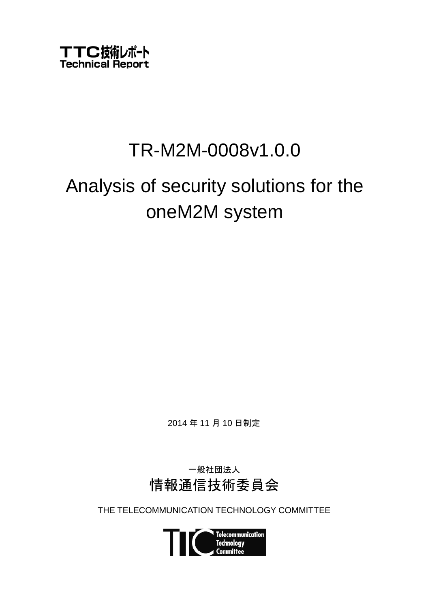

# TR-M2M-0008v1.0.0

# Analysis of security solutions for the oneM2M system

2014 年 11 月 10 日制定

一般社団法人 情報通信技術委員会

THE TELECOMMUNICATION TECHNOLOGY COMMITTEE

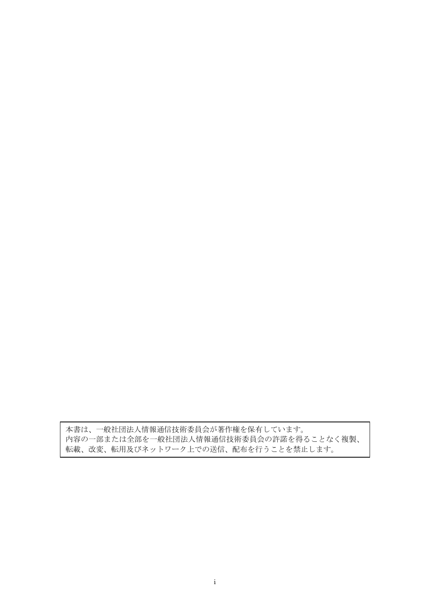本書は、一般社団法人情報通信技術委員会が著作権を保有しています。 内容の一部または全部を一般社団法人情報通信技術委員会の許諾を得ることなく複製、 転載、改変、転用及びネットワーク上での送信、配布を行うことを禁止します。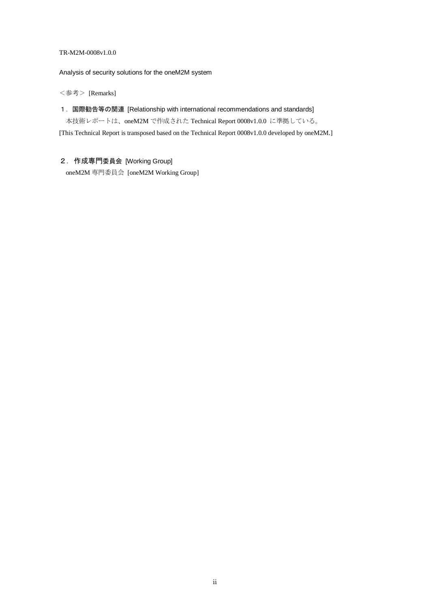#### TR-M2M-0008v1.0.0

Analysis of security solutions for the oneM2M system

<参考> [Remarks]

1.国際勧告等の関連 [Relationship with international recommendations and standards]

本技術レポートは、oneM2M で作成された Technical Report 0008v1.0.0 に準拠している。

[This Technical Report is transposed based on the Technical Report 0008v1.0.0 developed by oneM2M.]

#### 2.作成専門委員会 [Working Group]

oneM2M 専門委員会 [oneM2M Working Group]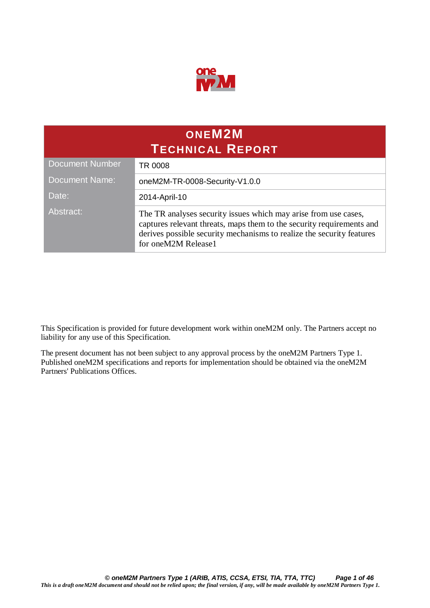

| ONEM <sub>2</sub> M<br><b>TECHNICAL REPORT</b> |                                                                                                                                                                                                                                          |  |
|------------------------------------------------|------------------------------------------------------------------------------------------------------------------------------------------------------------------------------------------------------------------------------------------|--|
| <b>Document Number</b>                         | TR 0008                                                                                                                                                                                                                                  |  |
| <b>Document Name:</b>                          | oneM2M-TR-0008-Security-V1.0.0                                                                                                                                                                                                           |  |
| Date:                                          | 2014-April-10                                                                                                                                                                                                                            |  |
| Abstract:                                      | The TR analyses security issues which may arise from use cases,<br>captures relevant threats, maps them to the security requirements and<br>derives possible security mechanisms to realize the security features<br>for oneM2M Release1 |  |

This Specification is provided for future development work within oneM2M only. The Partners accept no liability for any use of this Specification.

The present document has not been subject to any approval process by the oneM2M Partners Type 1. Published oneM2M specifications and reports for implementation should be obtained via the oneM2M Partners' Publications Offices.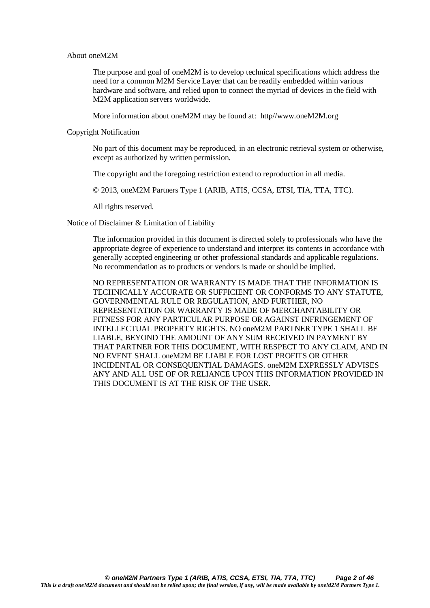#### About oneM2M

The purpose and goal of oneM2M is to develop technical specifications which address the need for a common M2M Service Layer that can be readily embedded within various hardware and software, and relied upon to connect the myriad of devices in the field with M2M application servers worldwide.

More information about oneM2M may be found at: http//www.oneM2M.org

Copyright Notification

No part of this document may be reproduced, in an electronic retrieval system or otherwise, except as authorized by written permission.

The copyright and the foregoing restriction extend to reproduction in all media.

© 2013, oneM2M Partners Type 1 (ARIB, ATIS, CCSA, ETSI, TIA, TTA, TTC).

All rights reserved.

Notice of Disclaimer & Limitation of Liability

The information provided in this document is directed solely to professionals who have the appropriate degree of experience to understand and interpret its contents in accordance with generally accepted engineering or other professional standards and applicable regulations. No recommendation as to products or vendors is made or should be implied.

NO REPRESENTATION OR WARRANTY IS MADE THAT THE INFORMATION IS TECHNICALLY ACCURATE OR SUFFICIENT OR CONFORMS TO ANY STATUTE, GOVERNMENTAL RULE OR REGULATION, AND FURTHER, NO REPRESENTATION OR WARRANTY IS MADE OF MERCHANTABILITY OR FITNESS FOR ANY PARTICULAR PURPOSE OR AGAINST INFRINGEMENT OF INTELLECTUAL PROPERTY RIGHTS. NO oneM2M PARTNER TYPE 1 SHALL BE LIABLE, BEYOND THE AMOUNT OF ANY SUM RECEIVED IN PAYMENT BY THAT PARTNER FOR THIS DOCUMENT, WITH RESPECT TO ANY CLAIM, AND IN NO EVENT SHALL oneM2M BE LIABLE FOR LOST PROFITS OR OTHER INCIDENTAL OR CONSEQUENTIAL DAMAGES. oneM2M EXPRESSLY ADVISES ANY AND ALL USE OF OR RELIANCE UPON THIS INFORMATION PROVIDED IN THIS DOCUMENT IS AT THE RISK OF THE USER.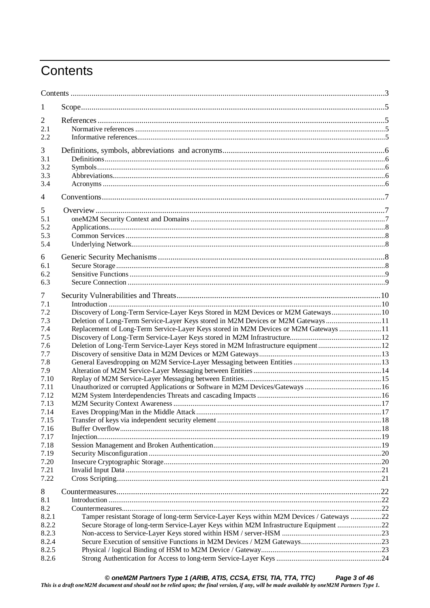# Contents

| 1              |                                                                                           |  |
|----------------|-------------------------------------------------------------------------------------------|--|
| 2              |                                                                                           |  |
| 2.1            |                                                                                           |  |
| 2.2            |                                                                                           |  |
| 3              |                                                                                           |  |
| 3.1            |                                                                                           |  |
| 3.2            |                                                                                           |  |
| 3.3            |                                                                                           |  |
| 3.4            |                                                                                           |  |
| 4              |                                                                                           |  |
| 5              |                                                                                           |  |
| 5.1            |                                                                                           |  |
| 5.2            |                                                                                           |  |
| 5.3            |                                                                                           |  |
| 5.4            |                                                                                           |  |
| 6              |                                                                                           |  |
| 6.1            |                                                                                           |  |
| 6.2            |                                                                                           |  |
| 6.3            |                                                                                           |  |
| 7              |                                                                                           |  |
| 7.1            |                                                                                           |  |
| 7.2            | Discovery of Long-Term Service-Layer Keys Stored in M2M Devices or M2M Gateways 10        |  |
| 7.3            | Deletion of Long-Term Service-Layer Keys stored in M2M Devices or M2M Gateways  11        |  |
| 7.4            | Replacement of Long-Term Service-Layer Keys stored in M2M Devices or M2M Gateways  11     |  |
| 7.5            |                                                                                           |  |
| 7.6            | Deletion of Long-Term Service-Layer Keys stored in M2M Infrastructure equipment 12        |  |
| 7.7            |                                                                                           |  |
| 7.8            |                                                                                           |  |
| 7.9            |                                                                                           |  |
| 7.10           |                                                                                           |  |
| 7.11           | Unauthorized or corrupted Applications or Software in M2M Devices/Gateways 16             |  |
| 7.12           |                                                                                           |  |
| 7.13           |                                                                                           |  |
| 7.14           |                                                                                           |  |
| 7.15           |                                                                                           |  |
| 7.16           |                                                                                           |  |
| 7.17           |                                                                                           |  |
| 7.18           |                                                                                           |  |
| 7.19<br>7.20   |                                                                                           |  |
| 7.21           |                                                                                           |  |
| 7.22           |                                                                                           |  |
|                |                                                                                           |  |
| 8              |                                                                                           |  |
| 8.1<br>8.2     |                                                                                           |  |
|                | Tamper resistant Storage of long-term Service-Layer Keys within M2M Devices / Gateways 22 |  |
| 8.2.1<br>8.2.2 | Secure Storage of long-term Service-Layer Keys within M2M Infrastructure Equipment 22     |  |
| 8.2.3          |                                                                                           |  |
| 8.2.4          |                                                                                           |  |
| 8.2.5          |                                                                                           |  |
| 8.2.6          |                                                                                           |  |
|                |                                                                                           |  |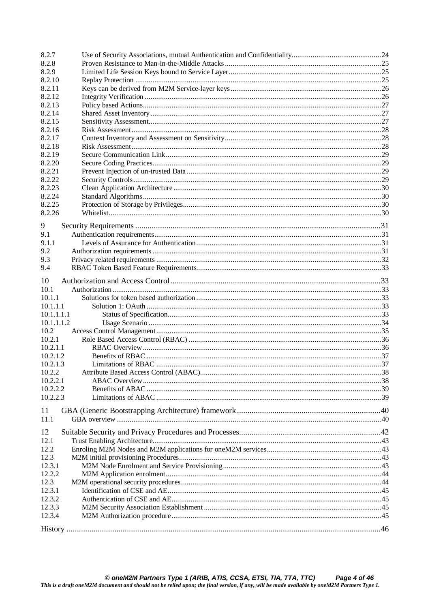| 8.2.7        |    |
|--------------|----|
| 8.2.8        |    |
| 8.2.9        |    |
| 8.2.10       |    |
| 8.2.11       |    |
| 8.2.12       |    |
| 8.2.13       |    |
| 8.2.14       |    |
| 8.2.15       |    |
| 8.2.16       |    |
| 8.2.17       |    |
| 8.2.18       |    |
| 8.2.19       |    |
| 8.2.20       |    |
| 8.2.21       |    |
| 8.2.22       |    |
| 8.2.23       |    |
| 8.2.24       |    |
| 8.2.25       |    |
| 8.2.26       |    |
|              |    |
| 9            |    |
| 9.1          |    |
| 9.1.1        |    |
| 9.2          |    |
| 9.3          |    |
| 9.4          |    |
| 10           |    |
| 10.1         |    |
| 10.1.1       |    |
| 10.1.1.1     |    |
| 10.1.1.1.1   |    |
| 10.1.1.1.2   |    |
| 10.2         |    |
| 10.2.1       |    |
| 10.2.1.1     |    |
| 10.2.1.2     |    |
| 10.2.1.3     |    |
| 10.2.2       | 38 |
| 10.2.2.1     |    |
| 10.2.2.2     |    |
| 10.2.2.3     |    |
|              |    |
| 11           |    |
| 11.1         |    |
| 12           |    |
|              |    |
| 12.1<br>12.2 |    |
|              |    |
| 12.3         |    |
| 12.3.1       |    |
| 12.2.2       |    |
| 12.3         |    |
| 12.3.1       |    |
| 12.3.2       |    |
| 12.3.3       |    |
| 12.3.4       |    |
|              |    |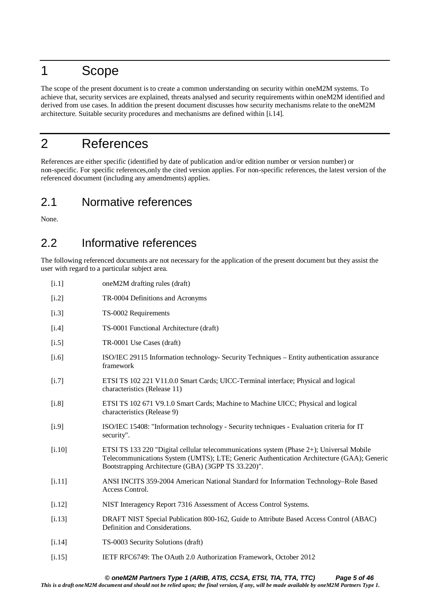# 1 Scope

The scope of the present document is to create a common understanding on security within oneM2M systems. To achieve that, security services are explained, threats analysed and security requirements within oneM2M identified and derived from use cases. In addition the present document discusses how security mechanisms relate to the oneM2M architecture. Suitable security procedures and mechanisms are defined within [i.14].

# 2 References

References are either specific (identified by date of publication and/or edition number or version number) or non-specific. For specific references,only the cited version applies. For non-specific references, the latest version of the referenced document (including any amendments) applies.

### 2.1 Normative references

None.

### 2.2 Informative references

The following referenced documents are not necessary for the application of the present document but they assist the user with regard to a particular subject area.

| [i.1]   | oneM2M drafting rules (draft)                                                                                                                                                                                                                |
|---------|----------------------------------------------------------------------------------------------------------------------------------------------------------------------------------------------------------------------------------------------|
| [i.2]   | TR-0004 Definitions and Acronyms                                                                                                                                                                                                             |
| [i.3]   | TS-0002 Requirements                                                                                                                                                                                                                         |
| $[1.4]$ | TS-0001 Functional Architecture (draft)                                                                                                                                                                                                      |
| $[1.5]$ | TR-0001 Use Cases (draft)                                                                                                                                                                                                                    |
| [i.6]   | ISO/IEC 29115 Information technology- Security Techniques – Entity authentication assurance<br>framework                                                                                                                                     |
| $[1.7]$ | ETSI TS 102 221 V11.0.0 Smart Cards; UICC-Terminal interface; Physical and logical<br>characteristics (Release 11)                                                                                                                           |
| $[1.8]$ | ETSI TS 102 671 V9.1.0 Smart Cards; Machine to Machine UICC; Physical and logical<br>characteristics (Release 9)                                                                                                                             |
| [i.9]   | ISO/IEC 15408: "Information technology - Security techniques - Evaluation criteria for IT<br>security".                                                                                                                                      |
| [i.10]  | ETSI TS 133 220 "Digital cellular telecommunications system (Phase 2+); Universal Mobile<br>Telecommunications System (UMTS); LTE; Generic Authentication Architecture (GAA); Generic<br>Bootstrapping Architecture (GBA) (3GPP TS 33.220)". |
| [i.11]  | ANSI INCITS 359-2004 American National Standard for Information Technology–Role Based<br>Access Control.                                                                                                                                     |
| [1.12]  | NIST Interagency Report 7316 Assessment of Access Control Systems.                                                                                                                                                                           |
| [i.13]  | DRAFT NIST Special Publication 800-162, Guide to Attribute Based Access Control (ABAC)<br>Definition and Considerations.                                                                                                                     |
| [1.14]  | TS-0003 Security Solutions (draft)                                                                                                                                                                                                           |
| [i.15]  | IETF RFC6749: The OAuth 2.0 Authorization Framework, October 2012                                                                                                                                                                            |

#### *© oneM2M Partners Type 1 (ARIB, ATIS, CCSA, ETSI, TIA, TTA, TTC) Page 5 of 46*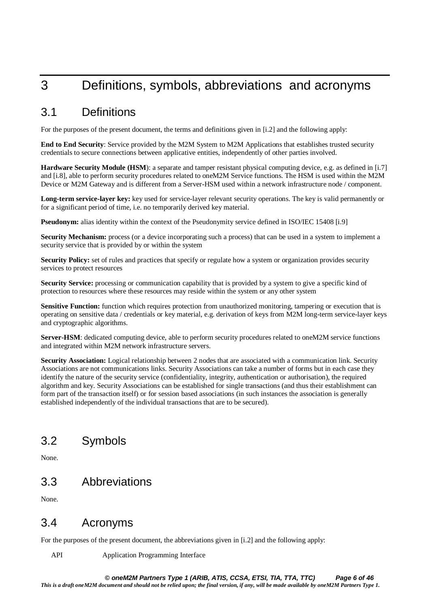# 3 Definitions, symbols, abbreviations and acronyms

#### 3.1 Definitions

For the purposes of the present document, the terms and definitions given in [i.2] and the following apply:

**End to End Security**: Service provided by the M2M System to M2M Applications that establishes trusted security credentials to secure connections between applicative entities, independently of other parties involved.

**Hardware Security Module (HSM)**: a separate and tamper resistant physical computing device, e.g. as defined in [i.7] and [i.8], able to perform security procedures related to oneM2M Service functions. The HSM is used within the M2M Device or M2M Gateway and is different from a Server-HSM used within a network infrastructure node / component.

**Long-term service-layer key:** key used for service-layer relevant security operations. The key is valid permanently or for a significant period of time, i.e. no temporarily derived key material.

**Pseudonym:** alias identity within the context of the Pseudonymity service defined in ISO/IEC 15408 [i.9]

**Security Mechanism:** process (or a device incorporating such a process) that can be used in a system to implement a security service that is provided by or within the system

**Security Policy:** set of rules and practices that specify or regulate how a system or organization provides security services to protect resources

**Security Service:** processing or communication capability that is provided by a system to give a specific kind of protection to resources where these resources may reside within the system or any other system

**Sensitive Function:** function which requires protection from unauthorized monitoring, tampering or execution that is operating on sensitive data / credentials or key material, e.g. derivation of keys from M2M long-term service-layer keys and cryptographic algorithms.

**Server-HSM**: dedicated computing device, able to perform security procedures related to oneM2M service functions and integrated within M2M network infrastructure servers.

**Security Association:** Logical relationship between 2 nodes that are associated with a communication link. Security Associations are not communications links. Security Associations can take a number of forms but in each case they identify the nature of the security service (confidentiality, integrity, authentication or authorisation), the required algorithm and key. Security Associations can be established for single transactions (and thus their establishment can form part of the transaction itself) or for session based associations (in such instances the association is generally established independently of the individual transactions that are to be secured).

### 3.2 Symbols

None.

#### 3.3 Abbreviations

None.

#### 3.4 Acronyms

For the purposes of the present document, the abbreviations given in [i.2] and the following apply:

API Application Programming Interface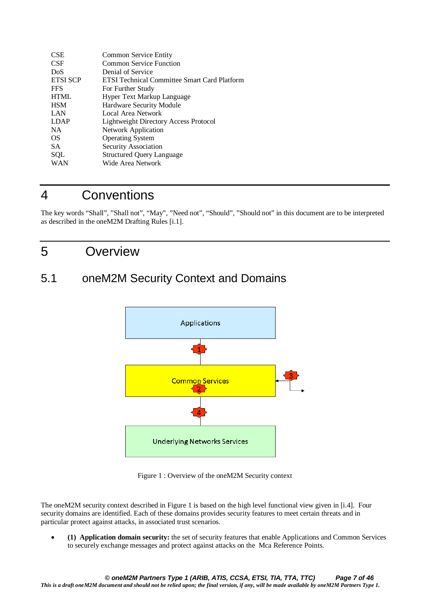| <b>CSE</b>      | Common Service Entity                               |
|-----------------|-----------------------------------------------------|
| <b>CSF</b>      | Common Service Function                             |
| DoS             | Denial of Service                                   |
| <b>ETSI SCP</b> | <b>ETSI Technical Committee Smart Card Platform</b> |
| <b>FFS</b>      | For Further Study                                   |
| <b>HTML</b>     | Hyper Text Markup Language                          |
| <b>HSM</b>      | Hardware Security Module                            |
| LAN             | Local Area Network                                  |
| <b>LDAP</b>     | Lightweight Directory Access Protocol               |
| <b>NA</b>       | Network Application                                 |
| OS              | <b>Operating System</b>                             |
| <b>SA</b>       | Security Association                                |
| SQL             | <b>Structured Query Language</b>                    |
| WAN             | Wide Area Network                                   |
|                 |                                                     |

# 4 Conventions

The key words "Shall", "Shall not", "May", "Need not", "Should", "Should not" in this document are to be interpreted as described in the oneM2M Drafting Rules [i.1].

### 5 Overview

# 5.1 oneM2M Security Context and Domains



Figure 1 : Overview of the oneM2M Security context

The oneM2M security context described in Figure 1 is based on the high level functional view given in [i.4]. Four security domains are identified. Each of these domains provides security features to meet certain threats and in particular protect against attacks, in associated trust scenarios.

• **(1) Application domain security:** the set of security features that enable Applications and Common Services to securely exchange messages and protect against attacks on the Mca Reference Points.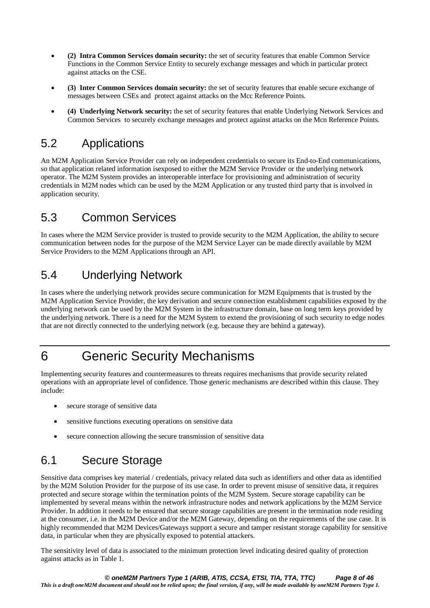- **(2) Intra Common Services domain security:** the set of security features that enable Common Service Functions in the Common Service Entity to securely exchange messages and which in particular protect against attacks on the CSE.
- **(3) Inter Common Services domain security:** the set of security features that enable secure exchange of messages between CSEs and protect against attacks on the Mcc Reference Points.
- **(4) Underlying Network security:** the set of security features that enable Underlying Network Services and Common Services to securely exchange messages and protect against attacks on the Mcn Reference Points.

### 5.2 Applications

An M2M Application Service Provider can rely on independent credentials to secure its End-to-End communications, so that application related information isexposed to either the M2M Service Provider or the underlying network operator. The M2M System provides an interoperable interface for provisioning and administration of security credentials in M2M nodes which can be used by the M2M Application or any trusted third party that is involved in application security.

### 5.3 Common Services

In cases where the M2M Service provider is trusted to provide security to the M2M Application, the ability to secure communication between nodes for the purpose of the M2M Service Layer can be made directly available by M2M Service Providers to the M2M Applications through an API.

# 5.4 Underlying Network

In cases where the underlying network provides secure communication for M2M Equipments that is trusted by the M2M Application Service Provider, the key derivation and secure connection establishment capabilities exposed by the underlying network can be used by the M2M System in the infrastructure domain, base on long term keys provided by the underlying network. There is a need for the M2M System to extend the provisioning of such security to edge nodes that are not directly connected to the underlying network (e.g. because they are behind a gateway).

# 6 Generic Security Mechanisms

Implementing security features and countermeasures to threats requires mechanisms that provide security related operations with an appropriate level of confidence. Those generic mechanisms are described within this clause. They include:

- secure storage of sensitive data
- sensitive functions executing operations on sensitive data
- secure connection allowing the secure transmission of sensitive data

### 6.1 Secure Storage

Sensitive data comprises key material / credentials, privacy related data such as identifiers and other data as identified by the M2M Solution Provider for the purpose of its use case. In order to prevent misuse of sensitive data, it requires protected and secure storage within the termination points of the M2M System. Secure storage capability can be implemented by several means within the network infrastructure nodes and network applications by the M2M Service Provider. In addition it needs to be ensured that secure storage capabilities are present in the termination node residing at the consumer, i.e. in the M2M Device and/or the M2M Gateway, depending on the requirements of the use case. It is highly recommended that M2M Devices/Gateways support a secure and tamper resistant storage capability for sensitive data, in particular when they are physically exposed to potential attackers.

The sensitivity level of data is associated to the minimum protection level indicating desired quality of protection against attacks as in Table 1.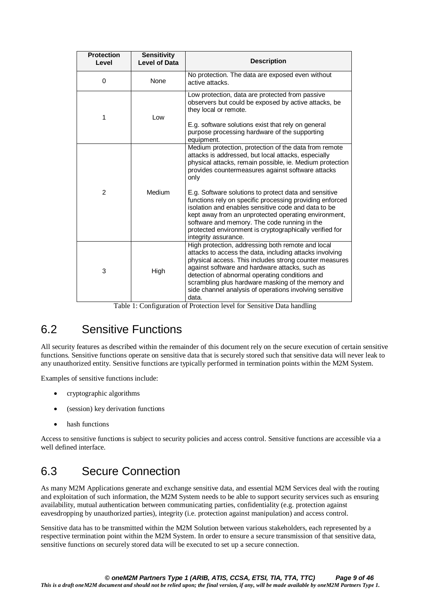| <b>Protection</b><br>Level | <b>Sensitivity</b><br><b>Level of Data</b> | <b>Description</b>                                                                                                                                                                                                                                                                                                                                                                                                                                                                                                                                                                                           |
|----------------------------|--------------------------------------------|--------------------------------------------------------------------------------------------------------------------------------------------------------------------------------------------------------------------------------------------------------------------------------------------------------------------------------------------------------------------------------------------------------------------------------------------------------------------------------------------------------------------------------------------------------------------------------------------------------------|
| $\Omega$                   | None                                       | No protection. The data are exposed even without<br>active attacks.                                                                                                                                                                                                                                                                                                                                                                                                                                                                                                                                          |
| 1                          | Low                                        | Low protection, data are protected from passive<br>observers but could be exposed by active attacks, be<br>they local or remote.<br>E.g. software solutions exist that rely on general<br>purpose processing hardware of the supporting<br>equipment.                                                                                                                                                                                                                                                                                                                                                        |
| $\overline{2}$             | Medium                                     | Medium protection, protection of the data from remote<br>attacks is addressed, but local attacks, especially<br>physical attacks, remain possible, ie. Medium protection<br>provides countermeasures against software attacks<br>only<br>E.g. Software solutions to protect data and sensitive<br>functions rely on specific processing providing enforced<br>isolation and enables sensitive code and data to be<br>kept away from an unprotected operating environment,<br>software and memory. The code running in the<br>protected environment is cryptographically verified for<br>integrity assurance. |
| 3                          | High                                       | High protection, addressing both remote and local<br>attacks to access the data, including attacks involving<br>physical access. This includes strong counter measures<br>against software and hardware attacks, such as<br>detection of abnormal operating conditions and<br>scrambling plus hardware masking of the memory and<br>side channel analysis of operations involving sensitive<br>data.                                                                                                                                                                                                         |

Table 1: Configuration of Protection level for Sensitive Data handling

### 6.2 Sensitive Functions

All security features as described within the remainder of this document rely on the secure execution of certain sensitive functions. Sensitive functions operate on sensitive data that is securely stored such that sensitive data will never leak to any unauthorized entity. Sensitive functions are typically performed in termination points within the M2M System.

Examples of sensitive functions include:

- cryptographic algorithms
- (session) key derivation functions
- hash functions

Access to sensitive functions is subject to security policies and access control. Sensitive functions are accessible via a well defined interface.

### 6.3 Secure Connection

As many M2M Applications generate and exchange sensitive data, and essential M2M Services deal with the routing and exploitation of such information, the M2M System needs to be able to support security services such as ensuring availability, mutual authentication between communicating parties, confidentiality (e.g. protection against eavesdropping by unauthorized parties), integrity (i.e. protection against manipulation) and access control.

Sensitive data has to be transmitted within the M2M Solution between various stakeholders, each represented by a respective termination point within the M2M System. In order to ensure a secure transmission of that sensitive data, sensitive functions on securely stored data will be executed to set up a secure connection.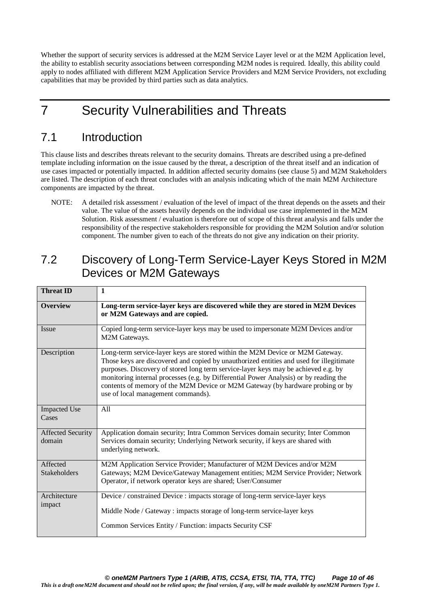Whether the support of security services is addressed at the M2M Service Layer level or at the M2M Application level, the ability to establish security associations between corresponding M2M nodes is required. Ideally, this ability could apply to nodes affiliated with different M2M Application Service Providers and M2M Service Providers, not excluding capabilities that may be provided by third parties such as data analytics.

# 7 Security Vulnerabilities and Threats

### 7.1 Introduction

This clause lists and describes threats relevant to the security domains. Threats are described using a pre-defined template including information on the issue caused by the threat, a description of the threat itself and an indication of use cases impacted or potentially impacted. In addition affected security domains (see clause 5) and M2M Stakeholders are listed. The description of each threat concludes with an analysis indicating which of the main M2M Architecture components are impacted by the threat.

NOTE: A detailed risk assessment / evaluation of the level of impact of the threat depends on the assets and their value. The value of the assets heavily depends on the individual use case implemented in the M2M Solution. Risk assessment / evaluation is therefore out of scope of this threat analysis and falls under the responsibility of the respective stakeholders responsible for providing the M2M Solution and/or solution component. The number given to each of the threats do not give any indication on their priority.

### 7.2 Discovery of Long-Term Service-Layer Keys Stored in M2M Devices or M2M Gateways

| <b>Threat ID</b>                   | $\mathbf{1}$                                                                                                                                                                                                                                                                                                                                                                                                                                                                    |
|------------------------------------|---------------------------------------------------------------------------------------------------------------------------------------------------------------------------------------------------------------------------------------------------------------------------------------------------------------------------------------------------------------------------------------------------------------------------------------------------------------------------------|
| <b>Overview</b>                    | Long-term service-layer keys are discovered while they are stored in M2M Devices<br>or M2M Gateways and are copied.                                                                                                                                                                                                                                                                                                                                                             |
| Issue                              | Copied long-term service-layer keys may be used to impersonate M2M Devices and/or<br>M2M Gateways.                                                                                                                                                                                                                                                                                                                                                                              |
| Description                        | Long-term service-layer keys are stored within the M2M Device or M2M Gateway.<br>Those keys are discovered and copied by unauthorized entities and used for illegitimate<br>purposes. Discovery of stored long term service-layer keys may be achieved e.g. by<br>monitoring internal processes (e.g. by Differential Power Analysis) or by reading the<br>contents of memory of the M2M Device or M2M Gateway (by hardware probing or by<br>use of local management commands). |
| <b>Impacted Use</b><br>Cases       | All                                                                                                                                                                                                                                                                                                                                                                                                                                                                             |
| <b>Affected Security</b><br>domain | Application domain security; Intra Common Services domain security; Inter Common<br>Services domain security; Underlying Network security, if keys are shared with<br>underlying network.                                                                                                                                                                                                                                                                                       |
| Affected<br><b>Stakeholders</b>    | M2M Application Service Provider; Manufacturer of M2M Devices and/or M2M<br>Gateways; M2M Device/Gateway Management entities; M2M Service Provider; Network<br>Operator, if network operator keys are shared; User/Consumer                                                                                                                                                                                                                                                     |
| Architecture<br>impact             | Device / constrained Device : impacts storage of long-term service-layer keys<br>Middle Node / Gateway : impacts storage of long-term service-layer keys<br>Common Services Entity / Function: impacts Security CSF                                                                                                                                                                                                                                                             |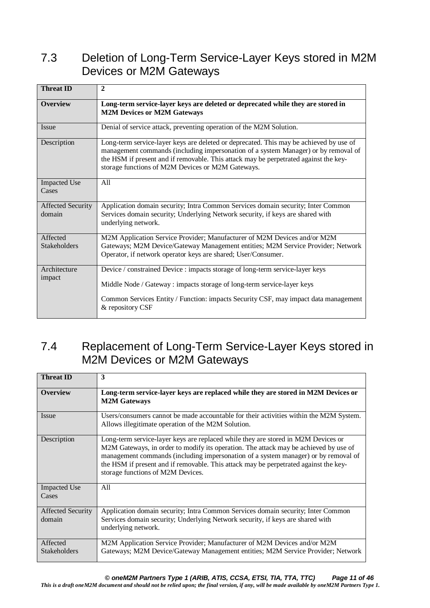# 7.3 Deletion of Long-Term Service-Layer Keys stored in M2M Devices or M2M Gateways

| <b>Threat ID</b>                   | $\overline{2}$                                                                                                                                                                                                                                                                                                            |
|------------------------------------|---------------------------------------------------------------------------------------------------------------------------------------------------------------------------------------------------------------------------------------------------------------------------------------------------------------------------|
| <b>Overview</b>                    | Long-term service-layer keys are deleted or deprecated while they are stored in<br><b>M2M Devices or M2M Gateways</b>                                                                                                                                                                                                     |
| Issue                              | Denial of service attack, preventing operation of the M2M Solution.                                                                                                                                                                                                                                                       |
| Description                        | Long-term service-layer keys are deleted or deprecated. This may be achieved by use of<br>management commands (including impersonation of a system Manager) or by removal of<br>the HSM if present and if removable. This attack may be perpetrated against the key-<br>storage functions of M2M Devices or M2M Gateways. |
| <b>Impacted Use</b><br>Cases       | A11                                                                                                                                                                                                                                                                                                                       |
| <b>Affected Security</b><br>domain | Application domain security; Intra Common Services domain security; Inter Common<br>Services domain security; Underlying Network security, if keys are shared with<br>underlying network.                                                                                                                                 |
| Affected<br><b>Stakeholders</b>    | M2M Application Service Provider; Manufacturer of M2M Devices and/or M2M<br>Gateways; M2M Device/Gateway Management entities; M2M Service Provider; Network<br>Operator, if network operator keys are shared; User/Consumer.                                                                                              |
| Architecture<br>impact             | Device / constrained Device : impacts storage of long-term service-layer keys<br>Middle Node / Gateway : impacts storage of long-term service-layer keys<br>Common Services Entity / Function: impacts Security CSF, may impact data management<br>& repository CSF                                                       |

# 7.4 Replacement of Long-Term Service-Layer Keys stored in M2M Devices or M2M Gateways

| <b>Threat ID</b>                   | 3                                                                                                                                                                                                                                                                                                                                                                                            |
|------------------------------------|----------------------------------------------------------------------------------------------------------------------------------------------------------------------------------------------------------------------------------------------------------------------------------------------------------------------------------------------------------------------------------------------|
| <b>Overview</b>                    | Long-term service-layer keys are replaced while they are stored in M2M Devices or<br><b>M2M Gateways</b>                                                                                                                                                                                                                                                                                     |
| Issue                              | Users/consumers cannot be made accountable for their activities within the M2M System.<br>Allows illegitimate operation of the M2M Solution.                                                                                                                                                                                                                                                 |
| Description                        | Long-term service-layer keys are replaced while they are stored in M2M Devices or<br>M2M Gateways, in order to modify its operation. The attack may be achieved by use of<br>management commands (including impersonation of a system manager) or by removal of<br>the HSM if present and if removable. This attack may be perpetrated against the key-<br>storage functions of M2M Devices. |
| <b>Impacted Use</b><br>Cases       | All                                                                                                                                                                                                                                                                                                                                                                                          |
| <b>Affected Security</b><br>domain | Application domain security; Intra Common Services domain security; Inter Common<br>Services domain security; Underlying Network security, if keys are shared with<br>underlying network.                                                                                                                                                                                                    |
| Affected<br><b>Stakeholders</b>    | M2M Application Service Provider; Manufacturer of M2M Devices and/or M2M<br>Gateways; M2M Device/Gateway Management entities; M2M Service Provider; Network                                                                                                                                                                                                                                  |

*© oneM2M Partners Type 1 (ARIB, ATIS, CCSA, ETSI, TIA, TTA, TTC) Page 11 of 46*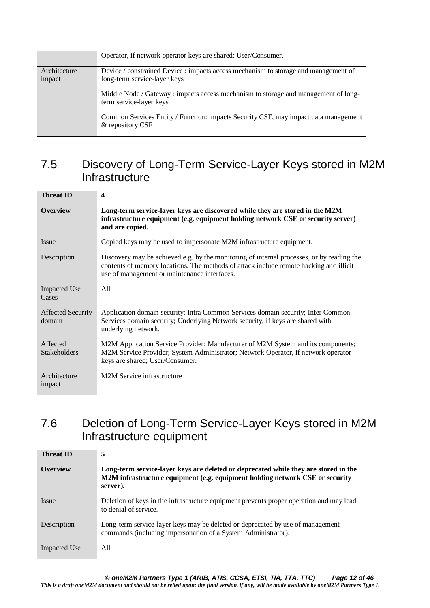|                        | Operator, if network operator keys are shared; User/Consumer.                                                       |
|------------------------|---------------------------------------------------------------------------------------------------------------------|
| Architecture<br>impact | Device / constrained Device : impacts access mechanism to storage and management of<br>long-term service-layer keys |
|                        | Middle Node / Gateway : impacts access mechanism to storage and management of long-<br>term service-layer keys      |
|                        | Common Services Entity / Function: impacts Security CSF, may impact data management<br>& repository CSF             |

### 7.5 Discovery of Long-Term Service-Layer Keys stored in M2M **Infrastructure**

| <b>Threat ID</b>                   | $\boldsymbol{4}$                                                                                                                                                                                                                    |
|------------------------------------|-------------------------------------------------------------------------------------------------------------------------------------------------------------------------------------------------------------------------------------|
| <b>Overview</b>                    | Long-term service-layer keys are discovered while they are stored in the M2M<br>infrastructure equipment (e.g. equipment holding network CSE or security server)<br>and are copied.                                                 |
| <b>Issue</b>                       | Copied keys may be used to impersonate M2M infrastructure equipment.                                                                                                                                                                |
| Description                        | Discovery may be achieved e.g. by the monitoring of internal processes, or by reading the<br>contents of memory locations. The methods of attack include remote hacking and illicit<br>use of management or maintenance interfaces. |
| <b>Impacted Use</b><br>Cases       | All                                                                                                                                                                                                                                 |
| <b>Affected Security</b><br>domain | Application domain security; Intra Common Services domain security; Inter Common<br>Services domain security; Underlying Network security, if keys are shared with<br>underlying network.                                           |
| Affected<br><b>Stakeholders</b>    | M2M Application Service Provider; Manufacturer of M2M System and its components;<br>M2M Service Provider; System Administrator; Network Operator, if network operator<br>keys are shared; User/Consumer.                            |
| Architecture<br>impact             | M2M Service infrastructure                                                                                                                                                                                                          |

# 7.6 Deletion of Long-Term Service-Layer Keys stored in M2M Infrastructure equipment

| <b>Threat ID</b>    | 5                                                                                                                                                                               |
|---------------------|---------------------------------------------------------------------------------------------------------------------------------------------------------------------------------|
| <b>Overview</b>     | Long-term service-layer keys are deleted or deprecated while they are stored in the<br>M2M infrastructure equipment (e.g. equipment holding network CSE or security<br>server). |
| <i>Issue</i>        | Deletion of keys in the infrastructure equipment prevents proper operation and may lead<br>to denial of service.                                                                |
| Description         | Long-term service-layer keys may be deleted or deprecated by use of management<br>commands (including impersonation of a System Administrator).                                 |
| <b>Impacted Use</b> | All                                                                                                                                                                             |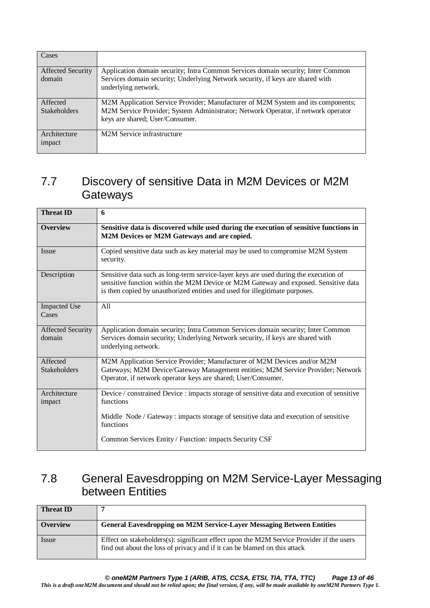| Cases                              |                                                                                                                                                                    |
|------------------------------------|--------------------------------------------------------------------------------------------------------------------------------------------------------------------|
| <b>Affected Security</b><br>domain | Application domain security; Intra Common Services domain security; Inter Common<br>Services domain security; Underlying Network security, if keys are shared with |
|                                    | underlying network.                                                                                                                                                |
| Affected                           | M2M Application Service Provider; Manufacturer of M2M System and its components;                                                                                   |
| <b>Stakeholders</b>                | M2M Service Provider; System Administrator; Network Operator, if network operator<br>keys are shared; User/Consumer.                                               |
| Architecture<br>impact             | M <sub>2</sub> M Service infrastructure                                                                                                                            |

### 7.7 Discovery of sensitive Data in M2M Devices or M2M **Gateways**

| <b>Threat ID</b>                   | 6                                                                                                                                                                                                                                                          |
|------------------------------------|------------------------------------------------------------------------------------------------------------------------------------------------------------------------------------------------------------------------------------------------------------|
| <b>Overview</b>                    | Sensitive data is discovered while used during the execution of sensitive functions in<br>M2M Devices or M2M Gateways and are copied.                                                                                                                      |
| Issue                              | Copied sensitive data such as key material may be used to compromise M2M System<br>security.                                                                                                                                                               |
| Description                        | Sensitive data such as long-term service-layer keys are used during the execution of<br>sensitive function within the M2M Device or M2M Gateway and exposed. Sensitive data<br>is then copied by unauthorized entities and used for illegitimate purposes. |
| <b>Impacted Use</b><br>Cases       | All                                                                                                                                                                                                                                                        |
| <b>Affected Security</b><br>domain | Application domain security; Intra Common Services domain security; Inter Common<br>Services domain security; Underlying Network security, if keys are shared with<br>underlying network.                                                                  |
| Affected<br><b>Stakeholders</b>    | M2M Application Service Provider; Manufacturer of M2M Devices and/or M2M<br>Gateways; M2M Device/Gateway Management entities; M2M Service Provider; Network<br>Operator, if network operator keys are shared; User/Consumer.                               |
| Architecture<br>impact             | Device / constrained Device : impacts storage of sensitive data and execution of sensitive<br>functions                                                                                                                                                    |
|                                    | Middle Node / Gateway : impacts storage of sensitive data and execution of sensitive<br>functions                                                                                                                                                          |
|                                    | Common Services Entity / Function: impacts Security CSF                                                                                                                                                                                                    |

### 7.8 General Eavesdropping on M2M Service-Layer Messaging between Entities

| <b>Threat ID</b> |                                                                                                                                                                       |
|------------------|-----------------------------------------------------------------------------------------------------------------------------------------------------------------------|
| <b>Overview</b>  | <b>General Eavesdropping on M2M Service-Layer Messaging Between Entities</b>                                                                                          |
| Issue            | Effect on stakeholders(s): significant effect upon the M2M Service Provider if the users<br>find out about the loss of privacy and if it can be blamed on this attack |

*© oneM2M Partners Type 1 (ARIB, ATIS, CCSA, ETSI, TIA, TTA, TTC) Page 13 of 46*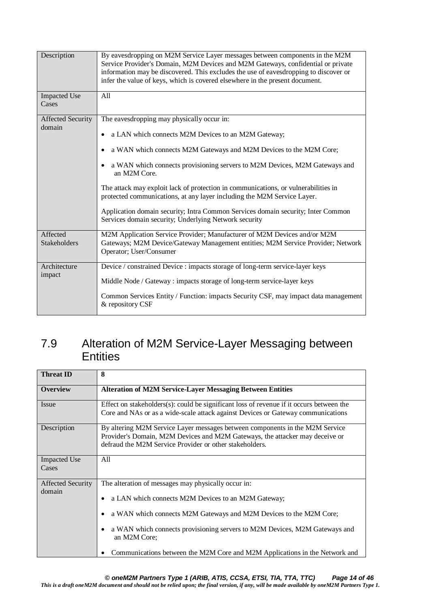| Description                  | By eavesdropping on M2M Service Layer messages between components in the M2M<br>Service Provider's Domain, M2M Devices and M2M Gateways, confidential or private<br>information may be discovered. This excludes the use of eavesdropping to discover or<br>infer the value of keys, which is covered elsewhere in the present document. |
|------------------------------|------------------------------------------------------------------------------------------------------------------------------------------------------------------------------------------------------------------------------------------------------------------------------------------------------------------------------------------|
| <b>Impacted Use</b><br>Cases | All                                                                                                                                                                                                                                                                                                                                      |
| <b>Affected Security</b>     | The eavesdropping may physically occur in:                                                                                                                                                                                                                                                                                               |
| domain                       | a LAN which connects M2M Devices to an M2M Gateway;                                                                                                                                                                                                                                                                                      |
|                              | a WAN which connects M2M Gateways and M2M Devices to the M2M Core;                                                                                                                                                                                                                                                                       |
|                              | • a WAN which connects provisioning servers to M2M Devices, M2M Gateways and<br>an M2M Core.                                                                                                                                                                                                                                             |
|                              | The attack may exploit lack of protection in communications, or vulnerabilities in<br>protected communications, at any layer including the M2M Service Layer.                                                                                                                                                                            |
|                              | Application domain security; Intra Common Services domain security; Inter Common<br>Services domain security; Underlying Network security                                                                                                                                                                                                |
| Affected<br>Stakeholders     | M2M Application Service Provider; Manufacturer of M2M Devices and/or M2M<br>Gateways; M2M Device/Gateway Management entities; M2M Service Provider; Network<br>Operator; User/Consumer                                                                                                                                                   |
| Architecture                 | Device / constrained Device : impacts storage of long-term service-layer keys                                                                                                                                                                                                                                                            |
| impact                       | Middle Node / Gateway : impacts storage of long-term service-layer keys                                                                                                                                                                                                                                                                  |
|                              | Common Services Entity / Function: impacts Security CSF, may impact data management<br>& repository CSF                                                                                                                                                                                                                                  |

### 7.9 Alteration of M2M Service-Layer Messaging between **Entities**

| <b>Threat ID</b>                   | 8                                                                                                                                                                                                                                                                                                                                                             |
|------------------------------------|---------------------------------------------------------------------------------------------------------------------------------------------------------------------------------------------------------------------------------------------------------------------------------------------------------------------------------------------------------------|
| <b>Overview</b>                    | <b>Alteration of M2M Service-Layer Messaging Between Entities</b>                                                                                                                                                                                                                                                                                             |
| Issue                              | Effect on stakeholders(s): could be significant loss of revenue if it occurs between the<br>Core and NAs or as a wide-scale attack against Devices or Gateway communications                                                                                                                                                                                  |
| Description                        | By altering M2M Service Layer messages between components in the M2M Service<br>Provider's Domain, M2M Devices and M2M Gateways, the attacker may deceive or<br>defraud the M2M Service Provider or other stakeholders.                                                                                                                                       |
| <b>Impacted Use</b><br>Cases       | All                                                                                                                                                                                                                                                                                                                                                           |
| <b>Affected Security</b><br>domain | The alteration of messages may physically occur in:<br>a LAN which connects M2M Devices to an M2M Gateway;<br>a WAN which connects M2M Gateways and M2M Devices to the M2M Core;<br>a WAN which connects provisioning servers to M2M Devices, M2M Gateways and<br>an M2M Core;<br>Communications between the M2M Core and M2M Applications in the Network and |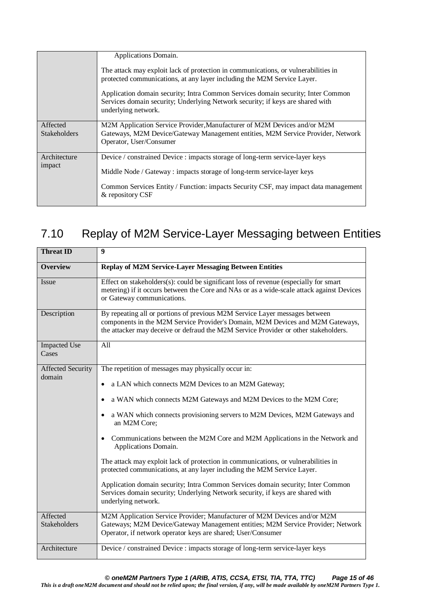|                     | Applications Domain.                                                                                                                                                                      |
|---------------------|-------------------------------------------------------------------------------------------------------------------------------------------------------------------------------------------|
|                     | The attack may exploit lack of protection in communications, or vulnerabilities in<br>protected communications, at any layer including the M2M Service Layer.                             |
|                     | Application domain security; Intra Common Services domain security; Inter Common<br>Services domain security; Underlying Network security; if keys are shared with<br>underlying network. |
| Affected            | M2M Application Service Provider, Manufacturer of M2M Devices and/or M2M                                                                                                                  |
| <b>Stakeholders</b> | Gateways, M2M Device/Gateway Management entities, M2M Service Provider, Network                                                                                                           |
|                     | Operator, User/Consumer                                                                                                                                                                   |
| Architecture        | Device / constrained Device : impacts storage of long-term service-layer keys                                                                                                             |
| impact              | Middle Node / Gateway : impacts storage of long-term service-layer keys                                                                                                                   |
|                     | Common Services Entity / Function: impacts Security CSF, may impact data management<br>& repository CSF                                                                                   |

# 7.10 Replay of M2M Service-Layer Messaging between Entities

| <b>Threat ID</b>                   | 9                                                                                                                                                                                                                                                    |
|------------------------------------|------------------------------------------------------------------------------------------------------------------------------------------------------------------------------------------------------------------------------------------------------|
| <b>Overview</b>                    | <b>Replay of M2M Service-Layer Messaging Between Entities</b>                                                                                                                                                                                        |
| Issue                              | Effect on stakeholders(s): could be significant loss of revenue (especially for smart<br>metering) if it occurs between the Core and NAs or as a wide-scale attack against Devices<br>or Gateway communications.                                     |
| Description                        | By repeating all or portions of previous M2M Service Layer messages between<br>components in the M2M Service Provider's Domain, M2M Devices and M2M Gateways,<br>the attacker may deceive or defraud the M2M Service Provider or other stakeholders. |
| <b>Impacted Use</b><br>Cases       | All                                                                                                                                                                                                                                                  |
| <b>Affected Security</b><br>domain | The repetition of messages may physically occur in:                                                                                                                                                                                                  |
|                                    | a LAN which connects M2M Devices to an M2M Gateway;                                                                                                                                                                                                  |
|                                    | a WAN which connects M2M Gateways and M2M Devices to the M2M Core;                                                                                                                                                                                   |
|                                    | a WAN which connects provisioning servers to M2M Devices, M2M Gateways and<br>an M2M Core;                                                                                                                                                           |
|                                    | Communications between the M2M Core and M2M Applications in the Network and<br>Applications Domain.                                                                                                                                                  |
|                                    | The attack may exploit lack of protection in communications, or vulnerabilities in<br>protected communications, at any layer including the M2M Service Layer.                                                                                        |
|                                    | Application domain security; Intra Common Services domain security; Inter Common<br>Services domain security; Underlying Network security, if keys are shared with<br>underlying network.                                                            |
| Affected<br><b>Stakeholders</b>    | M2M Application Service Provider; Manufacturer of M2M Devices and/or M2M<br>Gateways; M2M Device/Gateway Management entities; M2M Service Provider; Network<br>Operator, if network operator keys are shared; User/Consumer                          |
| Architecture                       | Device / constrained Device : impacts storage of long-term service-layer keys                                                                                                                                                                        |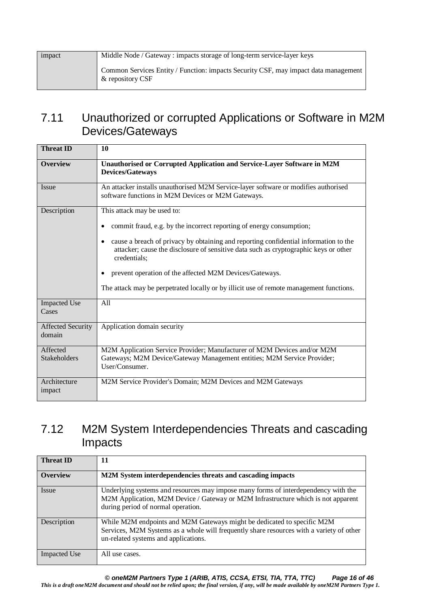| impact | Middle Node / Gateway : impacts storage of long-term service-layer keys                                 |
|--------|---------------------------------------------------------------------------------------------------------|
|        | Common Services Entity / Function: impacts Security CSF, may impact data management<br>& repository CSF |

### 7.11 Unauthorized or corrupted Applications or Software in M2M Devices/Gateways

| <b>Threat ID</b>                   | 10                                                                                                                                                                                           |
|------------------------------------|----------------------------------------------------------------------------------------------------------------------------------------------------------------------------------------------|
| <b>Overview</b>                    | Unauthorised or Corrupted Application and Service-Layer Software in M2M<br><b>Devices/Gateways</b>                                                                                           |
| <b>Issue</b>                       | An attacker installs unauthorised M2M Service-layer software or modifies authorised<br>software functions in M2M Devices or M2M Gateways.                                                    |
| Description                        | This attack may be used to:<br>commit fraud, e.g. by the incorrect reporting of energy consumption;                                                                                          |
|                                    | cause a breach of privacy by obtaining and reporting confidential information to the<br>attacker; cause the disclosure of sensitive data such as cryptographic keys or other<br>credentials; |
|                                    | prevent operation of the affected M2M Devices/Gateways.                                                                                                                                      |
|                                    | The attack may be perpetrated locally or by illicit use of remote management functions.                                                                                                      |
| <b>Impacted Use</b><br>Cases       | A <sub>11</sub>                                                                                                                                                                              |
| <b>Affected Security</b><br>domain | Application domain security                                                                                                                                                                  |
| Affected<br><b>Stakeholders</b>    | M2M Application Service Provider; Manufacturer of M2M Devices and/or M2M<br>Gateways; M2M Device/Gateway Management entities; M2M Service Provider;<br>User/Consumer.                        |
| Architecture<br>impact             | M2M Service Provider's Domain; M2M Devices and M2M Gateways                                                                                                                                  |

# 7.12 M2M System Interdependencies Threats and cascading Impacts

| <b>Threat ID</b>    | 11                                                                                                                                                                                                            |
|---------------------|---------------------------------------------------------------------------------------------------------------------------------------------------------------------------------------------------------------|
| <b>Overview</b>     | M2M System interdependencies threats and cascading impacts                                                                                                                                                    |
| Issue               | Underlying systems and resources may impose many forms of interdependency with the<br>M2M Application, M2M Device / Gateway or M2M Infrastructure which is not apparent<br>during period of normal operation. |
| Description         | While M2M endpoints and M2M Gateways might be dedicated to specific M2M<br>Services, M2M Systems as a whole will frequently share resources with a variety of other<br>un-related systems and applications.   |
| <b>Impacted Use</b> | All use cases.                                                                                                                                                                                                |

*© oneM2M Partners Type 1 (ARIB, ATIS, CCSA, ETSI, TIA, TTA, TTC) Page 16 of 46*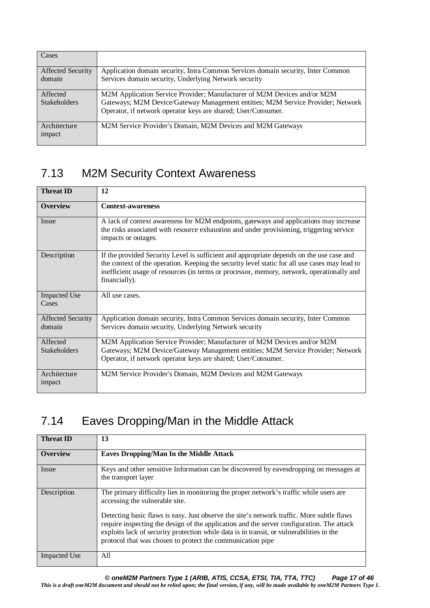| Cases                    |                                                                                  |
|--------------------------|----------------------------------------------------------------------------------|
| <b>Affected Security</b> | Application domain security, Intra Common Services domain security, Inter Common |
| domain                   | Services domain security, Underlying Network security                            |
| Affected                 | M2M Application Service Provider; Manufacturer of M2M Devices and/or M2M         |
| <b>Stakeholders</b>      | Gateways; M2M Device/Gateway Management entities; M2M Service Provider; Network  |
|                          | Operator, if network operator keys are shared; User/Consumer.                    |
| Architecture             | M2M Service Provider's Domain, M2M Devices and M2M Gateways                      |
| impact                   |                                                                                  |
|                          |                                                                                  |

# 7.13 M2M Security Context Awareness

| <b>Threat ID</b>                   | 12                                                                                                                                                                                                                                                                                                      |
|------------------------------------|---------------------------------------------------------------------------------------------------------------------------------------------------------------------------------------------------------------------------------------------------------------------------------------------------------|
| <b>Overview</b>                    | <b>Context-awareness</b>                                                                                                                                                                                                                                                                                |
| Issue                              | A lack of context awareness for M2M endpoints, gateways and applications may increase<br>the risks associated with resource exhaustion and under provisioning, triggering service<br>impacts or outages.                                                                                                |
| Description                        | If the provided Security Level is sufficient and appropriate depends on the use case and<br>the context of the operation. Keeping the security level static for all use cases may lead to<br>inefficient usage of resources (in terms or processor, memory, network, operationally and<br>financially). |
| <b>Impacted Use</b><br>Cases       | All use cases.                                                                                                                                                                                                                                                                                          |
| <b>Affected Security</b><br>domain | Application domain security, Intra Common Services domain security, Inter Common<br>Services domain security, Underlying Network security                                                                                                                                                               |
| Affected<br><b>Stakeholders</b>    | M2M Application Service Provider; Manufacturer of M2M Devices and/or M2M<br>Gateways; M2M Device/Gateway Management entities; M2M Service Provider; Network<br>Operator, if network operator keys are shared; User/Consumer.                                                                            |
| Architecture<br>impact             | M2M Service Provider's Domain, M2M Devices and M2M Gateways                                                                                                                                                                                                                                             |

# 7.14 Eaves Dropping/Man in the Middle Attack

| <b>Threat ID</b>    | 13                                                                                                                                                                                                                                                                                                                                               |
|---------------------|--------------------------------------------------------------------------------------------------------------------------------------------------------------------------------------------------------------------------------------------------------------------------------------------------------------------------------------------------|
| <b>Overview</b>     | <b>Eaves Dropping/Man In the Middle Attack</b>                                                                                                                                                                                                                                                                                                   |
| Issue               | Keys and other sensitive Information can be discovered by eavesdropping on messages at<br>the transport layer                                                                                                                                                                                                                                    |
| Description         | The primary difficulty lies in monitoring the proper network's traffic while users are<br>accessing the vulnerable site.                                                                                                                                                                                                                         |
|                     | Detecting basic flaws is easy. Just observe the site's network traffic. More subtle flaws<br>require inspecting the design of the application and the server configuration. The attack<br>exploits lack of security protection while data is in transit, or vulnerabilities in the<br>protocol that was chosen to protect the communication pipe |
| <b>Impacted Use</b> | All                                                                                                                                                                                                                                                                                                                                              |

*© oneM2M Partners Type 1 (ARIB, ATIS, CCSA, ETSI, TIA, TTA, TTC) Page 17 of 46*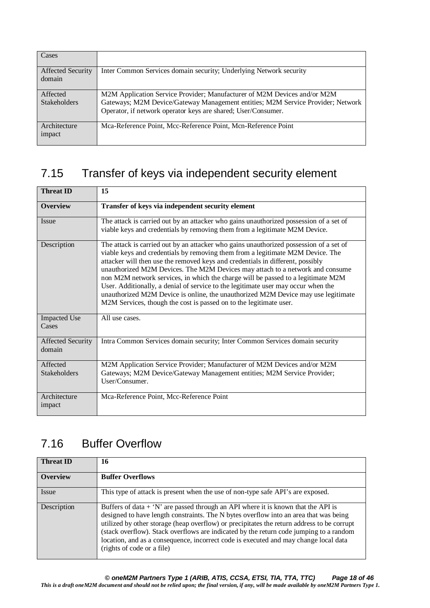| Cases                              |                                                                                                                                                                                                                              |
|------------------------------------|------------------------------------------------------------------------------------------------------------------------------------------------------------------------------------------------------------------------------|
| <b>Affected Security</b><br>domain | Inter Common Services domain security; Underlying Network security                                                                                                                                                           |
| Affected<br><b>Stakeholders</b>    | M2M Application Service Provider; Manufacturer of M2M Devices and/or M2M<br>Gateways; M2M Device/Gateway Management entities; M2M Service Provider; Network<br>Operator, if network operator keys are shared; User/Consumer. |
| Architecture<br>impact             | Mca-Reference Point, Mcc-Reference Point, Mcn-Reference Point                                                                                                                                                                |

# 7.15 Transfer of keys via independent security element

| <b>Threat ID</b>                   | 15                                                                                                                                                                                                                                                                                                                                                                                                                                                                                                                                                                                                                                                                              |
|------------------------------------|---------------------------------------------------------------------------------------------------------------------------------------------------------------------------------------------------------------------------------------------------------------------------------------------------------------------------------------------------------------------------------------------------------------------------------------------------------------------------------------------------------------------------------------------------------------------------------------------------------------------------------------------------------------------------------|
| <b>Overview</b>                    | Transfer of keys via independent security element                                                                                                                                                                                                                                                                                                                                                                                                                                                                                                                                                                                                                               |
| Issue                              | The attack is carried out by an attacker who gains unauthorized possession of a set of<br>viable keys and credentials by removing them from a legitimate M2M Device.                                                                                                                                                                                                                                                                                                                                                                                                                                                                                                            |
| Description                        | The attack is carried out by an attacker who gains unauthorized possession of a set of<br>viable keys and credentials by removing them from a legitimate M2M Device. The<br>attacker will then use the removed keys and credentials in different, possibly<br>unauthorized M2M Devices. The M2M Devices may attach to a network and consume<br>non M2M network services, in which the charge will be passed to a legitimate M2M<br>User. Additionally, a denial of service to the legitimate user may occur when the<br>unauthorized M2M Device is online, the unauthorized M2M Device may use legitimate<br>M2M Services, though the cost is passed on to the legitimate user. |
| <b>Impacted Use</b><br>Cases       | All use cases.                                                                                                                                                                                                                                                                                                                                                                                                                                                                                                                                                                                                                                                                  |
| <b>Affected Security</b><br>domain | Intra Common Services domain security; Inter Common Services domain security                                                                                                                                                                                                                                                                                                                                                                                                                                                                                                                                                                                                    |
| Affected<br><b>Stakeholders</b>    | M2M Application Service Provider; Manufacturer of M2M Devices and/or M2M<br>Gateways; M2M Device/Gateway Management entities; M2M Service Provider;<br>User/Consumer.                                                                                                                                                                                                                                                                                                                                                                                                                                                                                                           |
| Architecture<br>impact             | Mca-Reference Point, Mcc-Reference Point                                                                                                                                                                                                                                                                                                                                                                                                                                                                                                                                                                                                                                        |

# 7.16 Buffer Overflow

| <b>Threat ID</b> | 16                                                                                                                                                                                                                                                                                                                                                                                                                                                                                         |
|------------------|--------------------------------------------------------------------------------------------------------------------------------------------------------------------------------------------------------------------------------------------------------------------------------------------------------------------------------------------------------------------------------------------------------------------------------------------------------------------------------------------|
| <b>Overview</b>  | <b>Buffer Overflows</b>                                                                                                                                                                                                                                                                                                                                                                                                                                                                    |
| Issue            | This type of attack is present when the use of non-type safe API's are exposed.                                                                                                                                                                                                                                                                                                                                                                                                            |
| Description      | Buffers of data $+$ 'N' are passed through an API where it is known that the API is<br>designed to have length constraints. The N bytes overflow into an area that was being<br>utilized by other storage (heap overflow) or precipitates the return address to be corrupt<br>(stack overflow). Stack overflows are indicated by the return code jumping to a random<br>location, and as a consequence, incorrect code is executed and may change local data<br>(rights of code or a file) |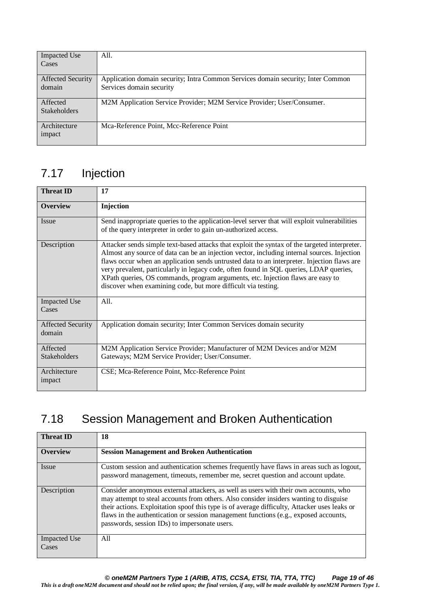| <b>Impacted Use</b>      | All.                                                                             |
|--------------------------|----------------------------------------------------------------------------------|
| Cases                    |                                                                                  |
|                          |                                                                                  |
| <b>Affected Security</b> | Application domain security; Intra Common Services domain security; Inter Common |
| domain                   | Services domain security                                                         |
|                          |                                                                                  |
| Affected                 | M2M Application Service Provider; M2M Service Provider; User/Consumer.           |
| <b>Stakeholders</b>      |                                                                                  |
|                          |                                                                                  |
| Architecture             | Mca-Reference Point, Mcc-Reference Point                                         |
| impact                   |                                                                                  |
|                          |                                                                                  |

# 7.17 Injection

| <b>Threat ID</b>                   | 17                                                                                                                                                                                                                                                                                                                                                                                                                                                                                                                                        |
|------------------------------------|-------------------------------------------------------------------------------------------------------------------------------------------------------------------------------------------------------------------------------------------------------------------------------------------------------------------------------------------------------------------------------------------------------------------------------------------------------------------------------------------------------------------------------------------|
| <b>Overview</b>                    | Injection                                                                                                                                                                                                                                                                                                                                                                                                                                                                                                                                 |
| Issue                              | Send inappropriate queries to the application-level server that will exploit vulnerabilities<br>of the query interpreter in order to gain un-authorized access.                                                                                                                                                                                                                                                                                                                                                                           |
| Description                        | Attacker sends simple text-based attacks that exploit the syntax of the targeted interpreter.<br>Almost any source of data can be an injection vector, including internal sources. Injection<br>flaws occur when an application sends untrusted data to an interpreter. Injection flaws are<br>very prevalent, particularly in legacy code, often found in SQL queries, LDAP queries,<br>XPath queries, OS commands, program arguments, etc. Injection flaws are easy to<br>discover when examining code, but more difficult via testing. |
| <b>Impacted Use</b><br>Cases       | All.                                                                                                                                                                                                                                                                                                                                                                                                                                                                                                                                      |
| <b>Affected Security</b><br>domain | Application domain security; Inter Common Services domain security                                                                                                                                                                                                                                                                                                                                                                                                                                                                        |
| Affected                           | M2M Application Service Provider; Manufacturer of M2M Devices and/or M2M                                                                                                                                                                                                                                                                                                                                                                                                                                                                  |
| <b>Stakeholders</b>                | Gateways; M2M Service Provider; User/Consumer.                                                                                                                                                                                                                                                                                                                                                                                                                                                                                            |
| Architecture<br>impact             | CSE; Mca-Reference Point, Mcc-Reference Point                                                                                                                                                                                                                                                                                                                                                                                                                                                                                             |

# 7.18 Session Management and Broken Authentication

| <b>Threat ID</b>             | 18                                                                                                                                                                                                                                                                                                                                                                                                                     |
|------------------------------|------------------------------------------------------------------------------------------------------------------------------------------------------------------------------------------------------------------------------------------------------------------------------------------------------------------------------------------------------------------------------------------------------------------------|
| <b>Overview</b>              | <b>Session Management and Broken Authentication</b>                                                                                                                                                                                                                                                                                                                                                                    |
| Issue                        | Custom session and authentication schemes frequently have flaws in areas such as logout,<br>password management, timeouts, remember me, secret question and account update.                                                                                                                                                                                                                                            |
| Description                  | Consider anonymous external attackers, as well as users with their own accounts, who<br>may attempt to steal accounts from others. Also consider insiders wanting to disguise<br>their actions. Exploitation spoof this type is of average difficulty, Attacker uses leaks or<br>flaws in the authentication or session management functions (e.g., exposed accounts,<br>passwords, session IDs) to impersonate users. |
| <b>Impacted Use</b><br>Cases | All                                                                                                                                                                                                                                                                                                                                                                                                                    |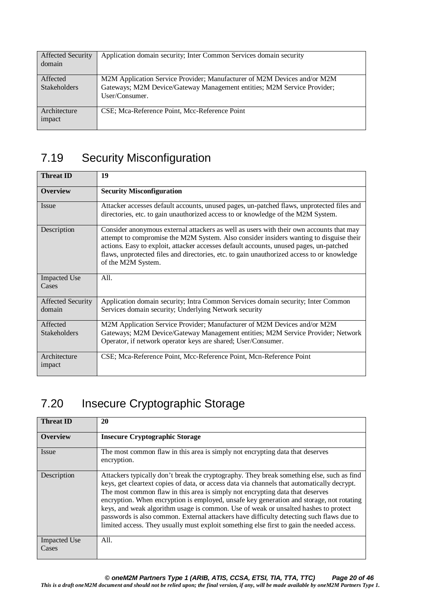| <b>Affected Security</b><br>domain | Application domain security; Inter Common Services domain security                                                                                                    |
|------------------------------------|-----------------------------------------------------------------------------------------------------------------------------------------------------------------------|
| Affected<br><b>Stakeholders</b>    | M2M Application Service Provider; Manufacturer of M2M Devices and/or M2M<br>Gateways; M2M Device/Gateway Management entities; M2M Service Provider;<br>User/Consumer. |
| Architecture<br>impact             | CSE; Mca-Reference Point, Mcc-Reference Point                                                                                                                         |

# 7.19 Security Misconfiguration

| <b>Threat ID</b>                   | 19                                                                                                                                                                                                                                                                                                                                                                                              |
|------------------------------------|-------------------------------------------------------------------------------------------------------------------------------------------------------------------------------------------------------------------------------------------------------------------------------------------------------------------------------------------------------------------------------------------------|
| <b>Overview</b>                    | <b>Security Misconfiguration</b>                                                                                                                                                                                                                                                                                                                                                                |
| <b>Issue</b>                       | Attacker accesses default accounts, unused pages, un-patched flaws, unprotected files and<br>directories, etc. to gain unauthorized access to or knowledge of the M2M System.                                                                                                                                                                                                                   |
| Description                        | Consider anonymous external attackers as well as users with their own accounts that may<br>attempt to compromise the M2M System. Also consider insiders wanting to disguise their<br>actions. Easy to exploit, attacker accesses default accounts, unused pages, un-patched<br>flaws, unprotected files and directories, etc. to gain unauthorized access to or knowledge<br>of the M2M System. |
| <b>Impacted Use</b><br>Cases       | All.                                                                                                                                                                                                                                                                                                                                                                                            |
| <b>Affected Security</b><br>domain | Application domain security; Intra Common Services domain security; Inter Common<br>Services domain security; Underlying Network security                                                                                                                                                                                                                                                       |
| Affected<br><b>Stakeholders</b>    | M2M Application Service Provider; Manufacturer of M2M Devices and/or M2M<br>Gateways; M2M Device/Gateway Management entities; M2M Service Provider; Network<br>Operator, if network operator keys are shared; User/Consumer.                                                                                                                                                                    |
| Architecture<br>impact             | CSE; Mca-Reference Point, Mcc-Reference Point, Mcn-Reference Point                                                                                                                                                                                                                                                                                                                              |

# 7.20 Insecure Cryptographic Storage

| <b>Threat ID</b>             | 20                                                                                                                                                                                                                                                                                                                                                                                                                                                                                                                                                                                                                                                    |
|------------------------------|-------------------------------------------------------------------------------------------------------------------------------------------------------------------------------------------------------------------------------------------------------------------------------------------------------------------------------------------------------------------------------------------------------------------------------------------------------------------------------------------------------------------------------------------------------------------------------------------------------------------------------------------------------|
| <b>Overview</b>              | <b>Insecure Cryptographic Storage</b>                                                                                                                                                                                                                                                                                                                                                                                                                                                                                                                                                                                                                 |
| <i>Issue</i>                 | The most common flaw in this area is simply not encrypting data that deserves<br>encryption.                                                                                                                                                                                                                                                                                                                                                                                                                                                                                                                                                          |
| Description                  | Attackers typically don't break the cryptography. They break something else, such as find<br>keys, get cleartext copies of data, or access data via channels that automatically decrypt.<br>The most common flaw in this area is simply not encrypting data that deserves<br>encryption. When encryption is employed, unsafe key generation and storage, not rotating<br>keys, and weak algorithm usage is common. Use of weak or unsalted hashes to protect<br>passwords is also common. External attackers have difficulty detecting such flaws due to<br>limited access. They usually must exploit something else first to gain the needed access. |
| <b>Impacted Use</b><br>Cases | All.                                                                                                                                                                                                                                                                                                                                                                                                                                                                                                                                                                                                                                                  |

*© oneM2M Partners Type 1 (ARIB, ATIS, CCSA, ETSI, TIA, TTA, TTC) Page 20 of 46*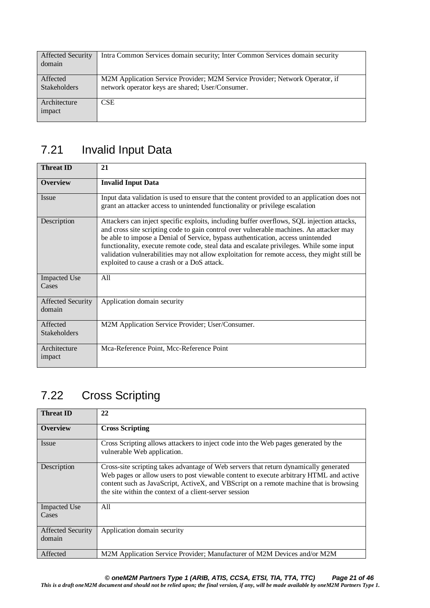| <b>Affected Security</b><br>domain | Intra Common Services domain security; Inter Common Services domain security                                                     |
|------------------------------------|----------------------------------------------------------------------------------------------------------------------------------|
| Affected<br><b>Stakeholders</b>    | M2M Application Service Provider; M2M Service Provider; Network Operator, if<br>network operator keys are shared; User/Consumer. |
| Architecture<br>impact             | <b>CSE</b>                                                                                                                       |

# 7.21 Invalid Input Data

| <b>Threat ID</b>                   | 21                                                                                                                                                                                                                                                                                                                                                                                                                                                                                                                  |
|------------------------------------|---------------------------------------------------------------------------------------------------------------------------------------------------------------------------------------------------------------------------------------------------------------------------------------------------------------------------------------------------------------------------------------------------------------------------------------------------------------------------------------------------------------------|
| <b>Overview</b>                    | <b>Invalid Input Data</b>                                                                                                                                                                                                                                                                                                                                                                                                                                                                                           |
| <i>Issue</i>                       | Input data validation is used to ensure that the content provided to an application does not<br>grant an attacker access to unintended functionality or privilege escalation                                                                                                                                                                                                                                                                                                                                        |
| Description                        | Attackers can inject specific exploits, including buffer overflows, SQL injection attacks,<br>and cross site scripting code to gain control over vulnerable machines. An attacker may<br>be able to impose a Denial of Service, bypass authentication, access unintended<br>functionality, execute remote code, steal data and escalate privileges. While some input<br>validation vulnerabilities may not allow exploitation for remote access, they might still be<br>exploited to cause a crash or a DoS attack. |
| <b>Impacted Use</b><br>Cases       | All                                                                                                                                                                                                                                                                                                                                                                                                                                                                                                                 |
| <b>Affected Security</b><br>domain | Application domain security                                                                                                                                                                                                                                                                                                                                                                                                                                                                                         |
| Affected<br><b>Stakeholders</b>    | M2M Application Service Provider; User/Consumer.                                                                                                                                                                                                                                                                                                                                                                                                                                                                    |
| Architecture<br>impact             | Mca-Reference Point, Mcc-Reference Point                                                                                                                                                                                                                                                                                                                                                                                                                                                                            |

# 7.22 Cross Scripting

| <b>Threat ID</b>                   | 22                                                                                                                                                                                                                                                                                                                                  |
|------------------------------------|-------------------------------------------------------------------------------------------------------------------------------------------------------------------------------------------------------------------------------------------------------------------------------------------------------------------------------------|
| <b>Overview</b>                    | <b>Cross Scripting</b>                                                                                                                                                                                                                                                                                                              |
| Issue                              | Cross Scripting allows attackers to inject code into the Web pages generated by the<br>vulnerable Web application.                                                                                                                                                                                                                  |
| Description                        | Cross-site scripting takes advantage of Web servers that return dynamically generated<br>Web pages or allow users to post viewable content to execute arbitrary HTML and active<br>content such as JavaScript, ActiveX, and VBScript on a remote machine that is browsing<br>the site within the context of a client-server session |
| <b>Impacted Use</b><br>Cases       | All                                                                                                                                                                                                                                                                                                                                 |
| <b>Affected Security</b><br>domain | Application domain security                                                                                                                                                                                                                                                                                                         |
| Affected                           | M2M Application Service Provider; Manufacturer of M2M Devices and/or M2M                                                                                                                                                                                                                                                            |

*© oneM2M Partners Type 1 (ARIB, ATIS, CCSA, ETSI, TIA, TTA, TTC) Page 21 of 46*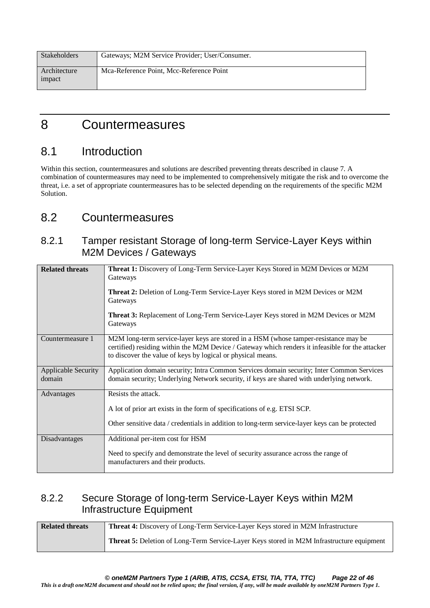| <b>Stakeholders</b>    | Gateways; M2M Service Provider; User/Consumer. |
|------------------------|------------------------------------------------|
| Architecture<br>impact | Mca-Reference Point, Mcc-Reference Point       |

# 8 Countermeasures

### 8.1 Introduction

Within this section, countermeasures and solutions are described preventing threats described in clause 7. A combination of countermeasures may need to be implemented to comprehensively mitigate the risk and to overcome the threat, i.e. a set of appropriate countermeasures has to be selected depending on the requirements of the specific M2M Solution.

### 8.2 Countermeasures

#### 8.2.1 Tamper resistant Storage of long-term Service-Layer Keys within M2M Devices / Gateways

| <b>Related threats</b>               | Threat 1: Discovery of Long-Term Service-Layer Keys Stored in M2M Devices or M2M<br>Gateways<br><b>Threat 2:</b> Deletion of Long-Term Service-Layer Keys stored in M2M Devices or M2M<br>Gateways<br><b>Threat 3:</b> Replacement of Long-Term Service-Layer Keys stored in M2M Devices or M2M<br>Gateways |
|--------------------------------------|-------------------------------------------------------------------------------------------------------------------------------------------------------------------------------------------------------------------------------------------------------------------------------------------------------------|
| Countermeasure 1                     | M2M long-term service-layer keys are stored in a HSM (whose tamper-resistance may be<br>certified) residing within the M2M Device / Gateway which renders it infeasible for the attacker<br>to discover the value of keys by logical or physical means.                                                     |
| <b>Applicable Security</b><br>domain | Application domain security; Intra Common Services domain security; Inter Common Services<br>domain security; Underlying Network security, if keys are shared with underlying network.                                                                                                                      |
| Advantages                           | Resists the attack.<br>A lot of prior art exists in the form of specifications of e.g. ETSI SCP.<br>Other sensitive data / credentials in addition to long-term service-layer keys can be protected                                                                                                         |
| Disadvantages                        | Additional per-item cost for HSM<br>Need to specify and demonstrate the level of security assurance across the range of<br>manufacturers and their products.                                                                                                                                                |

#### 8.2.2 Secure Storage of long-term Service-Layer Keys within M2M Infrastructure Equipment

| <b>Related threats</b> | <b>Threat 4:</b> Discovery of Long-Term Service-Layer Keys stored in M2M Infrastructure          |
|------------------------|--------------------------------------------------------------------------------------------------|
|                        | <b>Threat 5:</b> Deletion of Long-Term Service-Layer Keys stored in M2M Infrastructure equipment |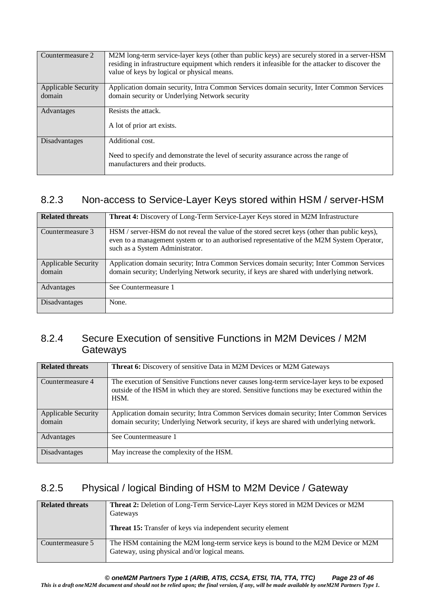| Countermeasure 2           | M2M long-term service-layer keys (other than public keys) are securely stored in a server-HSM<br>residing in infrastructure equipment which renders it infeasible for the attacker to discover the<br>value of keys by logical or physical means. |
|----------------------------|---------------------------------------------------------------------------------------------------------------------------------------------------------------------------------------------------------------------------------------------------|
|                            |                                                                                                                                                                                                                                                   |
| <b>Applicable Security</b> | Application domain security, Intra Common Services domain security, Inter Common Services                                                                                                                                                         |
|                            |                                                                                                                                                                                                                                                   |
| domain                     | domain security or Underlying Network security                                                                                                                                                                                                    |
|                            |                                                                                                                                                                                                                                                   |
| Advantages                 | Resists the attack.                                                                                                                                                                                                                               |
|                            |                                                                                                                                                                                                                                                   |
|                            |                                                                                                                                                                                                                                                   |
|                            | A lot of prior art exists.                                                                                                                                                                                                                        |
|                            |                                                                                                                                                                                                                                                   |
|                            |                                                                                                                                                                                                                                                   |
| Disadvantages              | Additional cost.                                                                                                                                                                                                                                  |
|                            |                                                                                                                                                                                                                                                   |
|                            |                                                                                                                                                                                                                                                   |
|                            | Need to specify and demonstrate the level of security assurance across the range of                                                                                                                                                               |
|                            | manufacturers and their products.                                                                                                                                                                                                                 |
|                            |                                                                                                                                                                                                                                                   |
|                            |                                                                                                                                                                                                                                                   |

#### 8.2.3 Non-access to Service-Layer Keys stored within HSM / server-HSM

| <b>Related threats</b>               | <b>Threat 4:</b> Discovery of Long-Term Service-Layer Keys stored in M2M Infrastructure                                                                                                                                       |
|--------------------------------------|-------------------------------------------------------------------------------------------------------------------------------------------------------------------------------------------------------------------------------|
| Countermeasure 3                     | HSM / server-HSM do not reveal the value of the stored secret keys (other than public keys),<br>even to a management system or to an authorised representative of the M2M System Operator,<br>such as a System Administrator. |
| <b>Applicable Security</b><br>domain | Application domain security; Intra Common Services domain security; Inter Common Services<br>domain security; Underlying Network security, if keys are shared with underlying network.                                        |
| Advantages                           | See Countermeasure 1                                                                                                                                                                                                          |
| <b>Disadvantages</b>                 | None.                                                                                                                                                                                                                         |

#### 8.2.4 Secure Execution of sensitive Functions in M2M Devices / M2M **Gateways**

| <b>Related threats</b>               | <b>Threat 6:</b> Discovery of sensitive Data in M2M Devices or M2M Gateways                                                                                                                          |
|--------------------------------------|------------------------------------------------------------------------------------------------------------------------------------------------------------------------------------------------------|
| Countermeasure 4                     | The execution of Sensitive Functions never causes long-term service-layer keys to be exposed<br>outside of the HSM in which they are stored. Sensitive functions may be exectured within the<br>HSM. |
| <b>Applicable Security</b><br>domain | Application domain security; Intra Common Services domain security; Inter Common Services<br>domain security; Underlying Network security, if keys are shared with underlying network.               |
| Advantages                           | See Countermeasure 1                                                                                                                                                                                 |
| Disadvantages                        | May increase the complexity of the HSM.                                                                                                                                                              |

#### 8.2.5 Physical / logical Binding of HSM to M2M Device / Gateway

| <b>Related threats</b> | <b>Threat 2:</b> Deletion of Long-Term Service-Layer Keys stored in M2M Devices or M2M<br>Gateways<br><b>Threat 15:</b> Transfer of keys via independent security element |
|------------------------|---------------------------------------------------------------------------------------------------------------------------------------------------------------------------|
| Countermeasure 5       | The HSM containing the M2M long-term service keys is bound to the M2M Device or M2M<br>Gateway, using physical and/or logical means.                                      |

*© oneM2M Partners Type 1 (ARIB, ATIS, CCSA, ETSI, TIA, TTA, TTC) Page 23 of 46*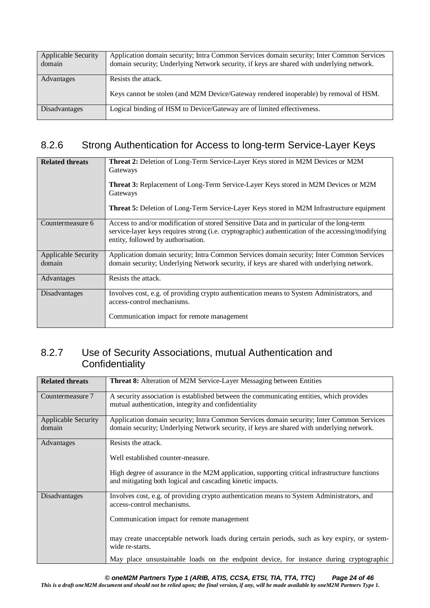| <b>Applicable Security</b><br>domain | Application domain security; Intra Common Services domain security; Inter Common Services<br>domain security; Underlying Network security, if keys are shared with underlying network. |
|--------------------------------------|----------------------------------------------------------------------------------------------------------------------------------------------------------------------------------------|
| Advantages                           | Resists the attack.<br>Keys cannot be stolen (and M2M Device/Gateway rendered inoperable) by removal of HSM.                                                                           |
| Disadvantages                        | Logical binding of HSM to Device/Gateway are of limited effectiveness.                                                                                                                 |

#### 8.2.6 Strong Authentication for Access to long-term Service-Layer Keys

| <b>Related threats</b>               | Threat 2: Deletion of Long-Term Service-Layer Keys stored in M2M Devices or M2M<br>Gateways<br><b>Threat 3:</b> Replacement of Long-Term Service-Layer Keys stored in M2M Devices or M2M<br>Gateways<br><b>Threat 5:</b> Deletion of Long-Term Service-Layer Keys stored in M2M Infrastructure equipment |
|--------------------------------------|----------------------------------------------------------------------------------------------------------------------------------------------------------------------------------------------------------------------------------------------------------------------------------------------------------|
| Countermeasure 6                     | Access to and/or modification of stored Sensitive Data and in particular of the long-term<br>service-layer keys requires strong (i.e. cryptographic) authentication of the accessing/modifying<br>entity, followed by authorisation.                                                                     |
| <b>Applicable Security</b><br>domain | Application domain security; Intra Common Services domain security; Inter Common Services<br>domain security; Underlying Network security, if keys are shared with underlying network.                                                                                                                   |
| Advantages                           | Resists the attack.                                                                                                                                                                                                                                                                                      |
| Disadvantages                        | Involves cost, e.g. of providing crypto authentication means to System Administrators, and<br>access-control mechanisms.<br>Communication impact for remote management                                                                                                                                   |

#### 8.2.7 Use of Security Associations, mutual Authentication and **Confidentiality**

| <b>Related threats</b>     | Threat 8: Alteration of M2M Service-Layer Messaging between Entities                                                                                        |
|----------------------------|-------------------------------------------------------------------------------------------------------------------------------------------------------------|
| Countermeasure 7           | A security association is established between the communicating entities, which provides<br>mutual authentication, integrity and confidentiality            |
| <b>Applicable Security</b> | Application domain security; Intra Common Services domain security; Inter Common Services                                                                   |
| domain                     | domain security; Underlying Network security, if keys are shared with underlying network.                                                                   |
| Advantages                 | Resists the attack.                                                                                                                                         |
|                            | Well established counter-measure.                                                                                                                           |
|                            | High degree of assurance in the M2M application, supporting critical infrastructure functions<br>and mitigating both logical and cascading kinetic impacts. |
| Disadvantages              | Involves cost, e.g. of providing crypto authentication means to System Administrators, and<br>access-control mechanisms.                                    |
|                            | Communication impact for remote management                                                                                                                  |
|                            | may create unacceptable network loads during certain periods, such as key expiry, or system-<br>wide re-starts.                                             |
|                            | May place unsustainable loads on the endpoint device, for instance during cryptographic                                                                     |

*© oneM2M Partners Type 1 (ARIB, ATIS, CCSA, ETSI, TIA, TTA, TTC) Page 24 of 46*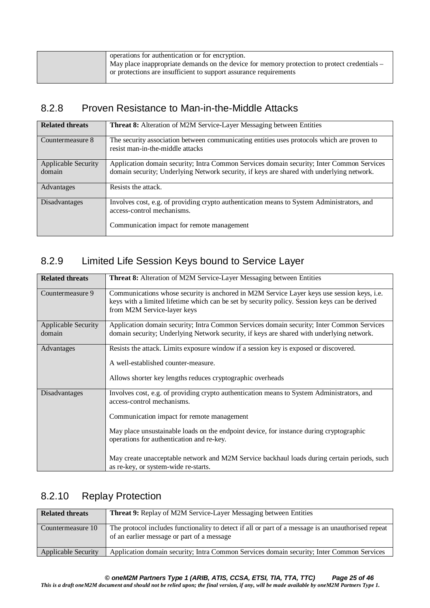| operations for authentication or for encryption.                                             |
|----------------------------------------------------------------------------------------------|
| May place inappropriate demands on the device for memory protection to protect credentials – |
| or protections are insufficient to support assurance requirements                            |
|                                                                                              |

#### 8.2.8 Proven Resistance to Man-in-the-Middle Attacks

| <b>Related threats</b>               | <b>Threat 8:</b> Alteration of M2M Service-Layer Messaging between Entities                                                                                                            |
|--------------------------------------|----------------------------------------------------------------------------------------------------------------------------------------------------------------------------------------|
| Countermeasure 8                     | The security association between communicating entities uses protocols which are proven to<br>resist man-in-the-middle attacks                                                         |
| <b>Applicable Security</b><br>domain | Application domain security; Intra Common Services domain security; Inter Common Services<br>domain security; Underlying Network security, if keys are shared with underlying network. |
| Advantages                           | Resists the attack.                                                                                                                                                                    |
| Disadvantages                        | Involves cost, e.g. of providing crypto authentication means to System Administrators, and<br>access-control mechanisms.<br>Communication impact for remote management                 |

### 8.2.9 Limited Life Session Keys bound to Service Layer

| <b>Related threats</b>               | <b>Threat 8:</b> Alteration of M2M Service-Layer Messaging between Entities                                                                                                                                                                                                                                                                                                                                                                           |
|--------------------------------------|-------------------------------------------------------------------------------------------------------------------------------------------------------------------------------------------------------------------------------------------------------------------------------------------------------------------------------------------------------------------------------------------------------------------------------------------------------|
| Countermeasure 9                     | Communications whose security is anchored in M2M Service Layer keys use session keys, i.e.<br>keys with a limited lifetime which can be set by security policy. Session keys can be derived<br>from M2M Service-layer keys                                                                                                                                                                                                                            |
| <b>Applicable Security</b><br>domain | Application domain security; Intra Common Services domain security; Inter Common Services<br>domain security; Underlying Network security, if keys are shared with underlying network.                                                                                                                                                                                                                                                                |
| Advantages                           | Resists the attack. Limits exposure window if a session key is exposed or discovered.<br>A well-established counter-measure.<br>Allows shorter key lengths reduces cryptographic overheads                                                                                                                                                                                                                                                            |
| Disadvantages                        | Involves cost, e.g. of providing crypto authentication means to System Administrators, and<br>access-control mechanisms.<br>Communication impact for remote management<br>May place unsustainable loads on the endpoint device, for instance during cryptographic<br>operations for authentication and re-key.<br>May create unacceptable network and M2M Service backhaul loads during certain periods, such<br>as re-key, or system-wide re-starts. |

### 8.2.10 Replay Protection

| <b>Related threats</b>     | <b>Threat 9:</b> Replay of M2M Service-Layer Messaging between Entities                                                                           |
|----------------------------|---------------------------------------------------------------------------------------------------------------------------------------------------|
| Countermeasure 10          | The protocol includes functionality to detect if all or part of a message is an unauthorised repeat<br>of an earlier message or part of a message |
| <b>Applicable Security</b> | Application domain security; Intra Common Services domain security; Inter Common Services                                                         |

*© oneM2M Partners Type 1 (ARIB, ATIS, CCSA, ETSI, TIA, TTA, TTC) Page 25 of 46*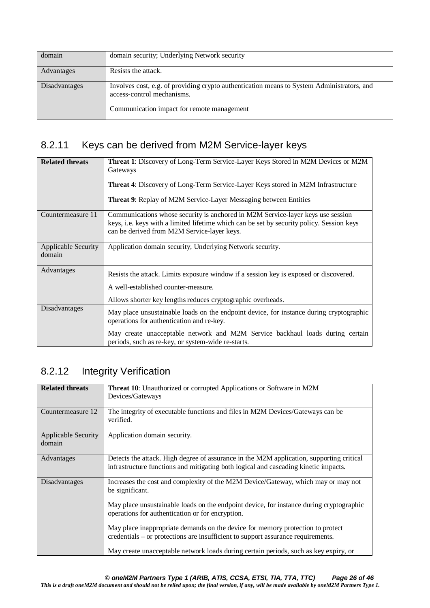| domain        | domain security; Underlying Network security                                                                                                                           |
|---------------|------------------------------------------------------------------------------------------------------------------------------------------------------------------------|
| Advantages    | Resists the attack.                                                                                                                                                    |
| Disadvantages | Involves cost, e.g. of providing crypto authentication means to System Administrators, and<br>access-control mechanisms.<br>Communication impact for remote management |

### 8.2.11 Keys can be derived from M2M Service-layer keys

| <b>Related threats</b>               | Threat 1: Discovery of Long-Term Service-Layer Keys Stored in M2M Devices or M2M<br>Gateways<br><b>Threat 4:</b> Discovery of Long-Term Service-Layer Keys stored in M2M Infrastructure<br><b>Threat 9:</b> Replay of M2M Service-Layer Messaging between Entities          |
|--------------------------------------|-----------------------------------------------------------------------------------------------------------------------------------------------------------------------------------------------------------------------------------------------------------------------------|
| Countermeasure 11                    | Communications whose security is anchored in M2M Service-layer keys use session<br>keys, i.e. keys with a limited lifetime which can be set by security policy. Session keys<br>can be derived from M2M Service-layer keys.                                                 |
| <b>Applicable Security</b><br>domain | Application domain security, Underlying Network security.                                                                                                                                                                                                                   |
| Advantages                           | Resists the attack. Limits exposure window if a session key is exposed or discovered.<br>A well-established counter-measure.<br>Allows shorter key lengths reduces cryptographic overheads.                                                                                 |
| Disadvantages                        | May place unsustainable loads on the endpoint device, for instance during cryptographic<br>operations for authentication and re-key.<br>May create unacceptable network and M2M Service backhaul loads during certain<br>periods, such as re-key, or system-wide re-starts. |

### 8.2.12 Integrity Verification

| <b>Related threats</b>               | Threat 10: Unauthorized or corrupted Applications or Software in M2M<br>Devices/Gateways                                                                                                                                                                                                                                                                                                                                                                                                                          |
|--------------------------------------|-------------------------------------------------------------------------------------------------------------------------------------------------------------------------------------------------------------------------------------------------------------------------------------------------------------------------------------------------------------------------------------------------------------------------------------------------------------------------------------------------------------------|
| Countermeasure 12                    | The integrity of executable functions and files in M2M Devices/Gateways can be<br>verified.                                                                                                                                                                                                                                                                                                                                                                                                                       |
| <b>Applicable Security</b><br>domain | Application domain security.                                                                                                                                                                                                                                                                                                                                                                                                                                                                                      |
| Advantages                           | Detects the attack. High degree of assurance in the M2M application, supporting critical<br>infrastructure functions and mitigating both logical and cascading kinetic impacts.                                                                                                                                                                                                                                                                                                                                   |
| Disadvantages                        | Increases the cost and complexity of the M2M Device/Gateway, which may or may not<br>be significant.<br>May place unsustainable loads on the endpoint device, for instance during cryptographic<br>operations for authentication or for encryption.<br>May place inappropriate demands on the device for memory protection to protect<br>credentials – or protections are insufficient to support assurance requirements.<br>May create unacceptable network loads during certain periods, such as key expiry, or |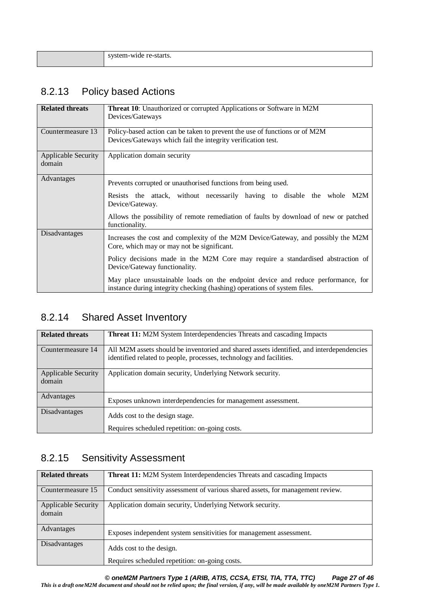| . |
|---|
|   |

### 8.2.13 Policy based Actions

| <b>Related threats</b>               | Threat 10: Unauthorized or corrupted Applications or Software in M2M<br>Devices/Gateways                                                                     |
|--------------------------------------|--------------------------------------------------------------------------------------------------------------------------------------------------------------|
| Countermeasure 13                    | Policy-based action can be taken to prevent the use of functions or of M2M<br>Devices/Gateways which fail the integrity verification test.                   |
| <b>Applicable Security</b><br>domain | Application domain security                                                                                                                                  |
| Advantages                           | Prevents corrupted or unauthorised functions from being used.                                                                                                |
|                                      | Resists the attack, without necessarily having to disable the whole M2M<br>Device/Gateway.                                                                   |
|                                      | Allows the possibility of remote remediation of faults by download of new or patched<br>functionality.                                                       |
| Disadvantages                        | Increases the cost and complexity of the M2M Device/Gateway, and possibly the M2M<br>Core, which may or may not be significant.                              |
|                                      | Policy decisions made in the M2M Core may require a standardised abstraction of<br>Device/Gateway functionality.                                             |
|                                      | May place unsustainable loads on the endpoint device and reduce performance, for<br>instance during integrity checking (hashing) operations of system files. |

### 8.2.14 Shared Asset Inventory

| <b>Related threats</b>               | <b>Threat 11:</b> M2M System Interdependencies Threats and cascading Impacts                                                                                    |
|--------------------------------------|-----------------------------------------------------------------------------------------------------------------------------------------------------------------|
| Countermeasure 14                    | All M2M assets should be inventoried and shared assets identified, and interdependencies<br>identified related to people, processes, technology and facilities. |
| <b>Applicable Security</b><br>domain | Application domain security, Underlying Network security.                                                                                                       |
| Advantages                           | Exposes unknown interdependencies for management assessment.                                                                                                    |
| Disadvantages                        | Adds cost to the design stage.                                                                                                                                  |
|                                      | Requires scheduled repetition: on-going costs.                                                                                                                  |

### 8.2.15 Sensitivity Assessment

| <b>Related threats</b>               | <b>Threat 11:</b> M2M System Interdependencies Threats and cascading Impacts    |
|--------------------------------------|---------------------------------------------------------------------------------|
| Countermeasure 15                    | Conduct sensitivity assessment of various shared assets, for management review. |
| <b>Applicable Security</b><br>domain | Application domain security, Underlying Network security.                       |
| Advantages                           | Exposes independent system sensitivities for management assessment.             |
| <b>Disadvantages</b>                 | Adds cost to the design.                                                        |
|                                      | Requires scheduled repetition: on-going costs.                                  |

*© oneM2M Partners Type 1 (ARIB, ATIS, CCSA, ETSI, TIA, TTA, TTC) Page 27 of 46*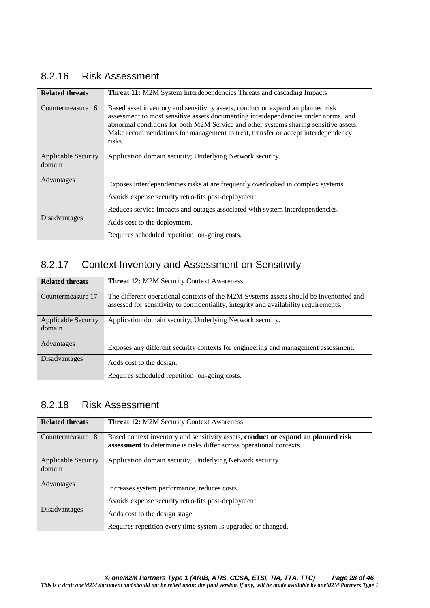#### 8.2.16 Risk Assessment

| <b>Related threats</b>               | <b>Threat 11:</b> M2M System Interdependencies Threats and cascading Impacts                                                                                                                                                                                                                                                                                |
|--------------------------------------|-------------------------------------------------------------------------------------------------------------------------------------------------------------------------------------------------------------------------------------------------------------------------------------------------------------------------------------------------------------|
| Countermeasure 16                    | Based asset inventory and sensitivity assets, conduct or expand an planned risk<br>assessment to most sensitive assets documenting interdependencies under normal and<br>abnormal conditions for both M2M Service and other systems sharing sensitive assets.<br>Make recommendations for management to treat, transfer or accept interdependency<br>risks. |
| <b>Applicable Security</b><br>domain | Application domain security; Underlying Network security.                                                                                                                                                                                                                                                                                                   |
| Advantages                           | Exposes interdependencies risks at are frequently overlooked in complex systems                                                                                                                                                                                                                                                                             |
|                                      | Avoids expense security retro-fits post-deployment<br>Reduces service impacts and outages associated with system interdependencies.                                                                                                                                                                                                                         |
| Disadvantages                        | Adds cost to the deployment.                                                                                                                                                                                                                                                                                                                                |
|                                      | Requires scheduled repetition: on-going costs.                                                                                                                                                                                                                                                                                                              |

#### 8.2.17 Context Inventory and Assessment on Sensitivity

| <b>Related threats</b>               | <b>Threat 12: M2M Security Context Awareness</b>                                                                                                                                |
|--------------------------------------|---------------------------------------------------------------------------------------------------------------------------------------------------------------------------------|
| Countermeasure 17                    | The different operational contexts of the M2M Systems assets should be inventoried and<br>assessed for sensitivity to confidentiality, integrity and availability requirements. |
| <b>Applicable Security</b><br>domain | Application domain security; Underlying Network security.                                                                                                                       |
| Advantages                           | Exposes any different security contexts for engineering and management assessment.                                                                                              |
| <b>Disadvantages</b>                 | Adds cost to the design.                                                                                                                                                        |
|                                      | Requires scheduled repetition: on-going costs.                                                                                                                                  |

#### 8.2.18 Risk Assessment

| <b>Related threats</b> | <b>Threat 12: M2M Security Context Awareness</b>                                  |  |  |
|------------------------|-----------------------------------------------------------------------------------|--|--|
|                        |                                                                                   |  |  |
| Countermeasure 18      | Based context inventory and sensitivity assets, conduct or expand an planned risk |  |  |
|                        | assessment to determine is risks differ across operational contexts.              |  |  |
|                        |                                                                                   |  |  |
| Applicable Security    | Application domain security, Underlying Network security.                         |  |  |
| domain                 |                                                                                   |  |  |
|                        |                                                                                   |  |  |
| Advantages             |                                                                                   |  |  |
|                        | Increases system performance, reduces costs.                                      |  |  |
|                        | Avoids expense security retro-fits post-deployment                                |  |  |
| Disadvantages          |                                                                                   |  |  |
|                        | Adds cost to the design stage.                                                    |  |  |
|                        | Requires repetition every time system is upgraded or changed.                     |  |  |
|                        |                                                                                   |  |  |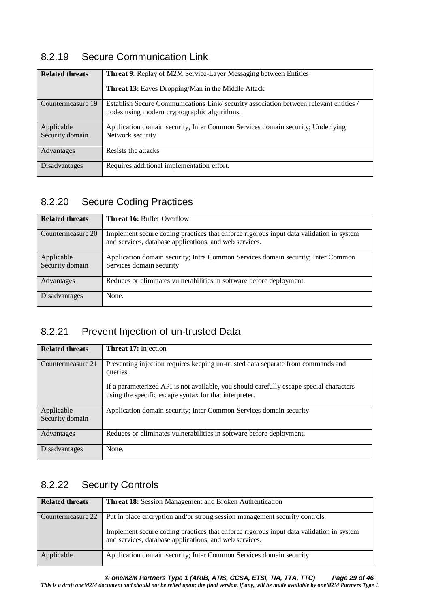#### 8.2.19 Secure Communication Link

| <b>Related threats</b> | <b>Threat 9:</b> Replay of M2M Service-Layer Messaging between Entities<br><b>Threat 13:</b> Eaves Dropping/Man in the Middle Attack  |  |  |
|------------------------|---------------------------------------------------------------------------------------------------------------------------------------|--|--|
| Countermeasure 19      | Establish Secure Communications Link/security association between relevant entities /<br>nodes using modern cryptographic algorithms. |  |  |
| Applicable             | Application domain security, Inter Common Services domain security; Underlying                                                        |  |  |
| Security domain        | Network security                                                                                                                      |  |  |
| Advantages             | Resists the attacks                                                                                                                   |  |  |
| Disadvantages          | Requires additional implementation effort.                                                                                            |  |  |

#### 8.2.20 Secure Coding Practices

| <b>Related threats</b> | <b>Threat 16: Buffer Overflow</b>                                                                                                                 |  |  |
|------------------------|---------------------------------------------------------------------------------------------------------------------------------------------------|--|--|
| Countermeasure 20      | Implement secure coding practices that enforce rigorous input data validation in system<br>and services, database applications, and web services. |  |  |
| Applicable             | Application domain security; Intra Common Services domain security; Inter Common                                                                  |  |  |
| Security domain        | Services domain security                                                                                                                          |  |  |
| Advantages             | Reduces or eliminates vulnerabilities in software before deployment.                                                                              |  |  |
| Disadvantages          | None.                                                                                                                                             |  |  |

### 8.2.21 Prevent Injection of un-trusted Data

| <b>Related threats</b> | <b>Threat 17: Injection</b>                                                                                                                       |  |  |
|------------------------|---------------------------------------------------------------------------------------------------------------------------------------------------|--|--|
| Countermeasure 21      | Preventing injection requires keeping un-trusted data separate from commands and<br>queries.                                                      |  |  |
|                        | If a parameterized API is not available, you should carefully escape special characters<br>using the specific escape syntax for that interpreter. |  |  |
| Applicable             | Application domain security; Inter Common Services domain security                                                                                |  |  |
| Security domain        |                                                                                                                                                   |  |  |
| Advantages             | Reduces or eliminates vulnerabilities in software before deployment.                                                                              |  |  |
| Disadvantages          | None.                                                                                                                                             |  |  |

### 8.2.22 Security Controls

| <b>Related threats</b> | <b>Threat 18:</b> Session Management and Broken Authentication                                                                                                                                                                   |  |  |
|------------------------|----------------------------------------------------------------------------------------------------------------------------------------------------------------------------------------------------------------------------------|--|--|
| Countermeasure 22      | Put in place encryption and/or strong session management security controls.<br>Implement secure coding practices that enforce rigorous input data validation in system<br>and services, database applications, and web services. |  |  |
| Applicable             | Application domain security; Inter Common Services domain security                                                                                                                                                               |  |  |

*© oneM2M Partners Type 1 (ARIB, ATIS, CCSA, ETSI, TIA, TTA, TTC) Page 29 of 46*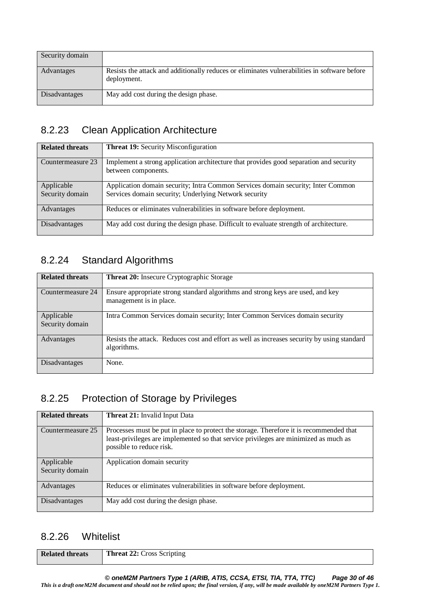| Security domain |                                                                                                             |
|-----------------|-------------------------------------------------------------------------------------------------------------|
| Advantages      | Resists the attack and additionally reduces or eliminates vulnerabilities in software before<br>deployment. |
| Disadvantages   | May add cost during the design phase.                                                                       |

#### 8.2.23 Clean Application Architecture

| <b>Related threats</b>        | <b>Threat 19:</b> Security Misconfiguration                                                                                               |  |  |
|-------------------------------|-------------------------------------------------------------------------------------------------------------------------------------------|--|--|
| Countermeasure 23             | Implement a strong application architecture that provides good separation and security<br>between components.                             |  |  |
| Applicable<br>Security domain | Application domain security; Intra Common Services domain security; Inter Common<br>Services domain security; Underlying Network security |  |  |
| Advantages                    | Reduces or eliminates vulnerabilities in software before deployment.                                                                      |  |  |
| Disadvantages                 | May add cost during the design phase. Difficult to evaluate strength of architecture.                                                     |  |  |

### 8.2.24 Standard Algorithms

| <b>Related threats</b>        | <b>Threat 20:</b> Insecure Cryptographic Storage                                                           |  |  |
|-------------------------------|------------------------------------------------------------------------------------------------------------|--|--|
| Countermeasure 24             | Ensure appropriate strong standard algorithms and strong keys are used, and key<br>management is in place. |  |  |
| Applicable<br>Security domain | Intra Common Services domain security; Inter Common Services domain security                               |  |  |
| Advantages                    | Resists the attack. Reduces cost and effort as well as increases security by using standard<br>algorithms. |  |  |
| <b>Disadvantages</b>          | None.                                                                                                      |  |  |

#### 8.2.25 Protection of Storage by Privileges

| <b>Related threats</b>        | <b>Threat 21:</b> Invalid Input Data                                                                                                                                                                        |  |  |
|-------------------------------|-------------------------------------------------------------------------------------------------------------------------------------------------------------------------------------------------------------|--|--|
| Countermeasure 25             | Processes must be put in place to protect the storage. Therefore it is recommended that<br>least-privileges are implemented so that service privileges are minimized as much as<br>possible to reduce risk. |  |  |
| Applicable<br>Security domain | Application domain security                                                                                                                                                                                 |  |  |
| Advantages                    | Reduces or eliminates vulnerabilities in software before deployment.                                                                                                                                        |  |  |
| Disadvantages                 | May add cost during the design phase.                                                                                                                                                                       |  |  |

#### 8.2.26 Whitelist

| <b>Related threats</b> | <b>Threat 22: Cross Scripting</b> |
|------------------------|-----------------------------------|
|------------------------|-----------------------------------|

*© oneM2M Partners Type 1 (ARIB, ATIS, CCSA, ETSI, TIA, TTA, TTC) Page 30 of 46*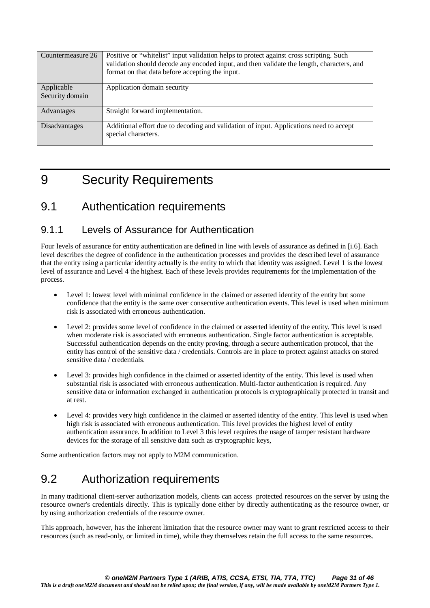| Countermeasure 26             | Positive or "whitelist" input validation helps to protect against cross scripting. Such<br>validation should decode any encoded input, and then validate the length, characters, and<br>format on that data before accepting the input. |  |
|-------------------------------|-----------------------------------------------------------------------------------------------------------------------------------------------------------------------------------------------------------------------------------------|--|
| Applicable<br>Security domain | Application domain security                                                                                                                                                                                                             |  |
| Advantages                    | Straight forward implementation.                                                                                                                                                                                                        |  |
| Disadvantages                 | Additional effort due to decoding and validation of input. Applications need to accept<br>special characters.                                                                                                                           |  |

# 9 Security Requirements

### 9.1 Authentication requirements

#### 9.1.1 Levels of Assurance for Authentication

Four levels of assurance for entity authentication are defined in line with levels of assurance as defined in [i.6]. Each level describes the degree of confidence in the authentication processes and provides the described level of assurance that the entity using a particular identity actually is the entity to which that identity was assigned. Level 1 is the lowest level of assurance and Level 4 the highest. Each of these levels provides requirements for the implementation of the process.

- Level 1: lowest level with minimal confidence in the claimed or asserted identity of the entity but some confidence that the entity is the same over consecutive authentication events. This level is used when minimum risk is associated with erroneous authentication.
- Level 2: provides some level of confidence in the claimed or asserted identity of the entity. This level is used when moderate risk is associated with erroneous authentication. Single factor authentication is acceptable. Successful authentication depends on the entity proving, through a secure authentication protocol, that the entity has control of the sensitive data / credentials. Controls are in place to protect against attacks on stored sensitive data / credentials.
- Level 3: provides high confidence in the claimed or asserted identity of the entity. This level is used when substantial risk is associated with erroneous authentication. Multi-factor authentication is required. Any sensitive data or information exchanged in authentication protocols is cryptographically protected in transit and at rest.
- Level 4: provides very high confidence in the claimed or asserted identity of the entity. This level is used when high risk is associated with erroneous authentication. This level provides the highest level of entity authentication assurance. In addition to Level 3 this level requires the usage of tamper resistant hardware devices for the storage of all sensitive data such as cryptographic keys,

Some authentication factors may not apply to M2M communication.

# 9.2 Authorization requirements

In many traditional client-server authorization models, clients can access protected resources on the server by using the resource owner's credentials directly. This is typically done either by directly authenticating as the resource owner, or by using authorization credentials of the resource owner.

This approach, however, has the inherent limitation that the resource owner may want to grant restricted access to their resources (such as read-only, or limited in time), while they themselves retain the full access to the same resources.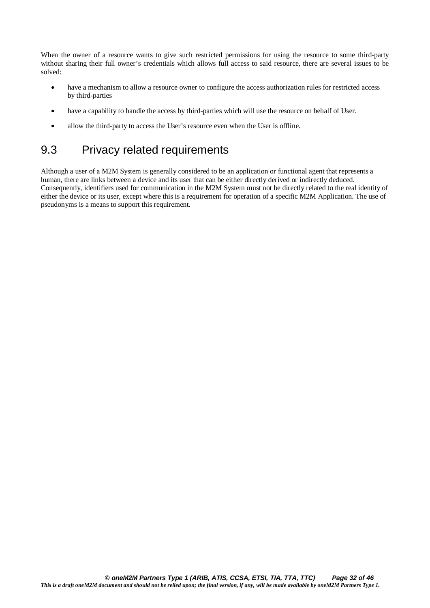When the owner of a resource wants to give such restricted permissions for using the resource to some third-party without sharing their full owner's credentials which allows full access to said resource, there are several issues to be solved:

- have a mechanism to allow a resource owner to configure the access authorization rules for restricted access by third-parties
- have a capability to handle the access by third-parties which will use the resource on behalf of User.
- allow the third-party to access the User's resource even when the User is offline.

# 9.3 Privacy related requirements

Although a user of a M2M System is generally considered to be an application or functional agent that represents a human, there are links between a device and its user that can be either directly derived or indirectly deduced. Consequently, identifiers used for communication in the M2M System must not be directly related to the real identity of either the device or its user, except where this is a requirement for operation of a specific M2M Application. The use of pseudonyms is a means to support this requirement.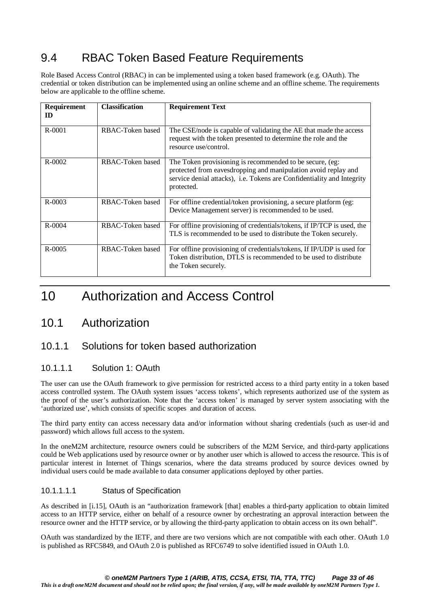# 9.4 RBAC Token Based Feature Requirements

Role Based Access Control (RBAC) in can be implemented using a token based framework (e.g. OAuth). The credential or token distribution can be implemented using an online scheme and an offline scheme. The requirements below are applicable to the offline scheme.

| Requirement<br>ID | <b>Classification</b> | <b>Requirement Text</b>                                                                                                                                                                                            |
|-------------------|-----------------------|--------------------------------------------------------------------------------------------------------------------------------------------------------------------------------------------------------------------|
| $R - 0001$        | RBAC-Token based      | The CSE/node is capable of validating the AE that made the access<br>request with the token presented to determine the role and the<br>resource use/control.                                                       |
| R-0002            | RBAC-Token based      | The Token provisioning is recommended to be secure, (eg:<br>protected from eavesdropping and manipulation avoid replay and<br>service denial attacks), i.e. Tokens are Confidentiality and Integrity<br>protected. |
| $R - 0003$        | RBAC-Token based      | For offline credential/token provisioning, a secure platform (eg:<br>Device Management server) is recommended to be used.                                                                                          |
| $R - 0004$        | RBAC-Token based      | For offline provisioning of credentials/tokens, if IP/TCP is used, the<br>TLS is recommended to be used to distribute the Token securely.                                                                          |
| $R - 0005$        | RBAC-Token based      | For offline provisioning of credentials/tokens, If IP/UDP is used for<br>Token distribution, DTLS is recommended to be used to distribute<br>the Token securely.                                                   |

# 10 Authorization and Access Control

### 10.1 Authorization

#### 10.1.1 Solutions for token based authorization

#### 10.1.1.1 Solution 1: OAuth

The user can use the OAuth framework to give permission for restricted access to a third party entity in a token based access controlled system. The OAuth system issues 'access tokens', which represents authorized use of the system as the proof of the user's authorization. Note that the 'access token' is managed by server system associating with the 'authorized use', which consists of specific scopes and duration of access.

The third party entity can access necessary data and/or information without sharing credentials (such as user-id and password) which allows full access to the system.

In the oneM2M architecture, resource owners could be subscribers of the M2M Service, and third-party applications could be Web applications used by resource owner or by another user which is allowed to access the resource. This is of particular interest in Internet of Things scenarios, where the data streams produced by source devices owned by individual users could be made available to data consumer applications deployed by other parties.

#### 10.1.1.1.1 Status of Specification

As described in [i.15], OAuth is an "authorization framework [that] enables a third-party application to obtain limited access to an HTTP service, either on behalf of a resource owner by orchestrating an approval interaction between the resource owner and the HTTP service, or by allowing the third-party application to obtain access on its own behalf".

OAuth was standardized by the IETF, and there are two versions which are not compatible with each other. OAuth 1.0 is published as RFC5849, and OAuth 2.0 is published as RFC6749 to solve identified issued in OAuth 1.0.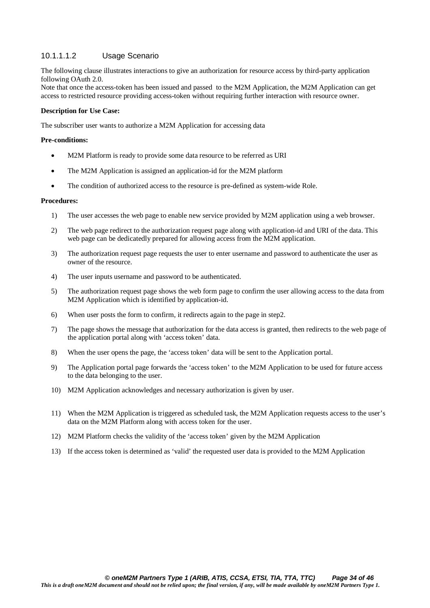#### 10.1.1.1.2 Usage Scenario

The following clause illustrates interactions to give an authorization for resource access by third-party application following OAuth 2.0.

Note that once the access-token has been issued and passed to the M2M Application, the M2M Application can get access to restricted resource providing access-token without requiring further interaction with resource owner.

#### **Description for Use Case:**

The subscriber user wants to authorize a M2M Application for accessing data

#### **Pre-conditions:**

- M2M Platform is ready to provide some data resource to be referred as URI
- The M2M Application is assigned an application-id for the M2M platform
- The condition of authorized access to the resource is pre-defined as system-wide Role.

#### **Procedures:**

- 1) The user accesses the web page to enable new service provided by M2M application using a web browser.
- 2) The web page redirect to the authorization request page along with application-id and URI of the data. This web page can be dedicatedly prepared for allowing access from the M2M application.
- 3) The authorization request page requests the user to enter username and password to authenticate the user as owner of the resource.
- 4) The user inputs username and password to be authenticated.
- 5) The authorization request page shows the web form page to confirm the user allowing access to the data from M2M Application which is identified by application-id.
- 6) When user posts the form to confirm, it redirects again to the page in step2.
- 7) The page shows the message that authorization for the data access is granted, then redirects to the web page of the application portal along with 'access token' data.
- 8) When the user opens the page, the 'access token' data will be sent to the Application portal.
- 9) The Application portal page forwards the 'access token' to the M2M Application to be used for future access to the data belonging to the user.
- 10) M2M Application acknowledges and necessary authorization is given by user.
- 11) When the M2M Application is triggered as scheduled task, the M2M Application requests access to the user's data on the M2M Platform along with access token for the user.
- 12) M2M Platform checks the validity of the 'access token' given by the M2M Application
- 13) If the access token is determined as 'valid' the requested user data is provided to the M2M Application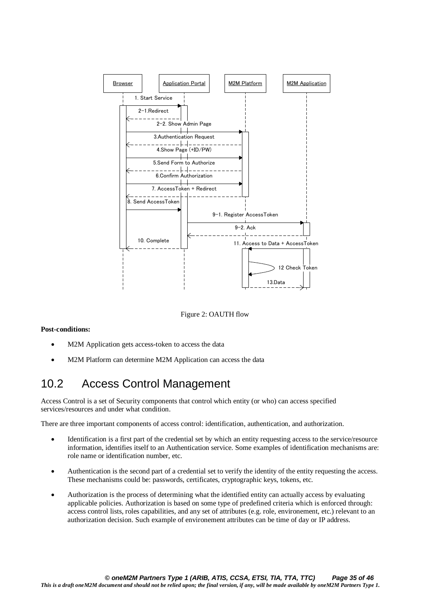

Figure 2: OAUTH flow

#### **Post-conditions:**

- M2M Application gets access-token to access the data
- M2M Platform can determine M2M Application can access the data

# 10.2 Access Control Management

Access Control is a set of Security components that control which entity (or who) can access specified services/resources and under what condition.

There are three important components of access control: identification, authentication, and authorization.

- Identification is a first part of the credential set by which an entity requesting access to the service/resource information, identifies itself to an Authentication service. Some examples of identification mechanisms are: role name or identification number, etc.
- Authentication is the second part of a credential set to verify the identity of the entity requesting the access. These mechanisms could be: passwords, certificates, cryptographic keys, tokens, etc.
- Authorization is the process of determining what the identified entity can actually access by evaluating applicable policies. Authorization is based on some type of predefined criteria which is enforced through: access control lists, roles capabilities, and any set of attributes (e.g. role, environement, etc.) relevant to an authorization decision. Such example of environement attributes can be time of day or IP address.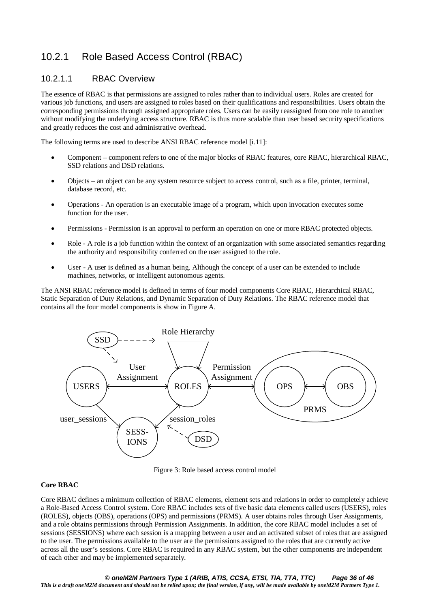### 10.2.1 Role Based Access Control (RBAC)

#### 10.2.1.1 RBAC Overview

The essence of RBAC is that permissions are assigned to roles rather than to individual users. Roles are created for various job functions, and users are assigned to roles based on their qualifications and responsibilities. Users obtain the corresponding permissions through assigned appropriate roles. Users can be easily reassigned from one role to another without modifying the underlying access structure. RBAC is thus more scalable than user based security specifications and greatly reduces the cost and administrative overhead.

The following terms are used to describe ANSI RBAC reference model [i.11]:

- Component component refers to one of the major blocks of RBAC features, core RBAC, hierarchical RBAC, SSD relations and DSD relations.
- Objects an object can be any system resource subject to access control, such as a file, printer, terminal, database record, etc.
- Operations An operation is an executable image of a program, which upon invocation executes some function for the user.
- Permissions Permission is an approval to perform an operation on one or more RBAC protected objects.
- Role A role is a job function within the context of an organization with some associated semantics regarding the authority and responsibility conferred on the user assigned to the role.
- User A user is defined as a human being. Although the concept of a user can be extended to include machines, networks, or intelligent autonomous agents.

The ANSI RBAC reference model is defined in terms of four model components Core RBAC, Hierarchical RBAC, Static Separation of Duty Relations, and Dynamic Separation of Duty Relations. The RBAC reference model that contains all the four model components is show in Figure A.



Figure 3: Role based access control model

#### **Core RBAC**

Core RBAC defines a minimum collection of RBAC elements, element sets and relations in order to completely achieve a Role-Based Access Control system. Core RBAC includes sets of five basic data elements called users (USERS), roles (ROLES), objects (OBS), operations (OPS) and permissions (PRMS). A user obtains roles through User Assignments, and a role obtains permissions through Permission Assignments. In addition, the core RBAC model includes a set of sessions (SESSIONS) where each session is a mapping between a user and an activated subset of roles that are assigned to the user. The permissions available to the user are the permissions assigned to the roles that are currently active across all the user's sessions. Core RBAC is required in any RBAC system, but the other components are independent of each other and may be implemented separately.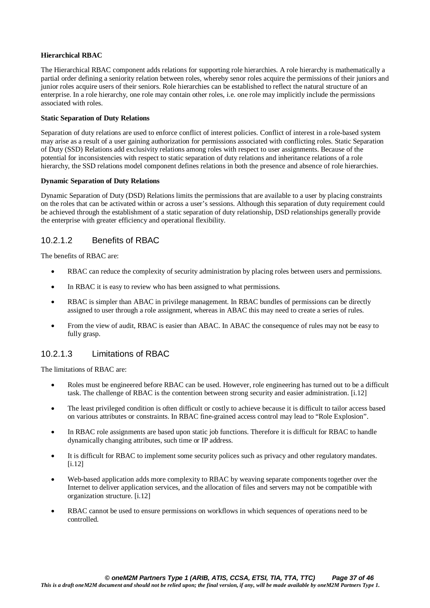#### **Hierarchical RBAC**

The Hierarchical RBAC component adds relations for supporting role hierarchies. A role hierarchy is mathematically a partial order defining a seniority relation between roles, whereby senor roles acquire the permissions of their juniors and junior roles acquire users of their seniors. Role hierarchies can be established to reflect the natural structure of an enterprise. In a role hierarchy, one role may contain other roles, i.e. one role may implicitly include the permissions associated with roles.

#### **Static Separation of Duty Relations**

Separation of duty relations are used to enforce conflict of interest policies. Conflict of interest in a role-based system may arise as a result of a user gaining authorization for permissions associated with conflicting roles. Static Separation of Duty (SSD) Relations add exclusivity relations among roles with respect to user assignments. Because of the potential for inconsistencies with respect to static separation of duty relations and inheritance relations of a role hierarchy, the SSD relations model component defines relations in both the presence and absence of role hierarchies.

#### **Dynamic Separation of Duty Relations**

Dynamic Separation of Duty (DSD) Relations limits the permissions that are available to a user by placing constraints on the roles that can be activated within or across a user's sessions. Although this separation of duty requirement could be achieved through the establishment of a static separation of duty relationship, DSD relationships generally provide the enterprise with greater efficiency and operational flexibility.

#### 10.2.1.2 Benefits of RBAC

The benefits of RBAC are:

- RBAC can reduce the complexity of security administration by placing roles between users and permissions.
- In RBAC it is easy to review who has been assigned to what permissions.
- RBAC is simpler than ABAC in privilege management. In RBAC bundles of permissions can be directly assigned to user through a role assignment, whereas in ABAC this may need to create a series of rules.
- From the view of audit, RBAC is easier than ABAC. In ABAC the consequence of rules may not be easy to fully grasp.

#### 10.2.1.3 Limitations of RBAC

The limitations of RBAC are:

- Roles must be engineered before RBAC can be used. However, role engineering has turned out to be a difficult task. The challenge of RBAC is the contention between strong security and easier administration. [i.12]
- The least privileged condition is often difficult or costly to achieve because it is difficult to tailor access based on various attributes or constraints. In RBAC fine-grained access control may lead to "Role Explosion".
- In RBAC role assignments are based upon static job functions. Therefore it is difficult for RBAC to handle dynamically changing attributes, such time or IP address.
- It is difficult for RBAC to implement some security polices such as privacy and other regulatory mandates. [i.12]
- Web-based application adds more complexity to RBAC by weaving separate components together over the Internet to deliver application services, and the allocation of files and servers may not be compatible with organization structure. [i.12]
- RBAC cannot be used to ensure permissions on workflows in which sequences of operations need to be controlled.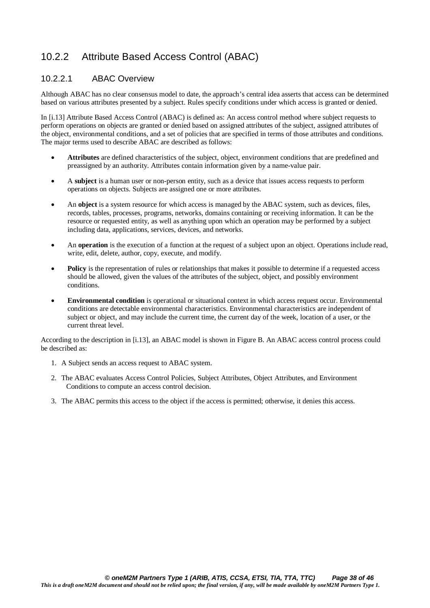#### 10.2.2 Attribute Based Access Control (ABAC)

#### 10.2.2.1 ABAC Overview

Although ABAC has no clear consensus model to date, the approach's central idea asserts that access can be determined based on various attributes presented by a subject. Rules specify conditions under which access is granted or denied.

In [i.13] Attribute Based Access Control (ABAC) is defined as: An access control method where subject requests to perform operations on objects are granted or denied based on assigned attributes of the subject, assigned attributes of the object, environmental conditions, and a set of policies that are specified in terms of those attributes and conditions. The major terms used to describe ABAC are described as follows:

- **Attributes** are defined characteristics of the subject, object, environment conditions that are predefined and preassigned by an authority. Attributes contain information given by a name-value pair.
- A **subject** is a human user or non-person entity, such as a device that issues access requests to perform operations on objects. Subjects are assigned one or more attributes.
- An **object** is a system resource for which access is managed by the ABAC system, such as devices, files, records, tables, processes, programs, networks, domains containing or receiving information. It can be the resource or requested entity, as well as anything upon which an operation may be performed by a subject including data, applications, services, devices, and networks.
- An **operation** is the execution of a function at the request of a subject upon an object. Operations include read, write, edit, delete, author, copy, execute, and modify.
- **Policy** is the representation of rules or relationships that makes it possible to determine if a requested access should be allowed, given the values of the attributes of the subject, object, and possibly environment conditions.
- **Environmental condition** is operational or situational context in which access request occur. Environmental conditions are detectable environmental characteristics. Environmental characteristics are independent of subject or object, and may include the current time, the current day of the week, location of a user, or the current threat level.

According to the description in [i.13], an ABAC model is shown in Figure B. An ABAC access control process could be described as:

- 1. A Subject sends an access request to ABAC system.
- 2. The ABAC evaluates Access Control Policies, Subject Attributes, Object Attributes, and Environment Conditions to compute an access control decision.
- 3. The ABAC permits this access to the object if the access is permitted; otherwise, it denies this access.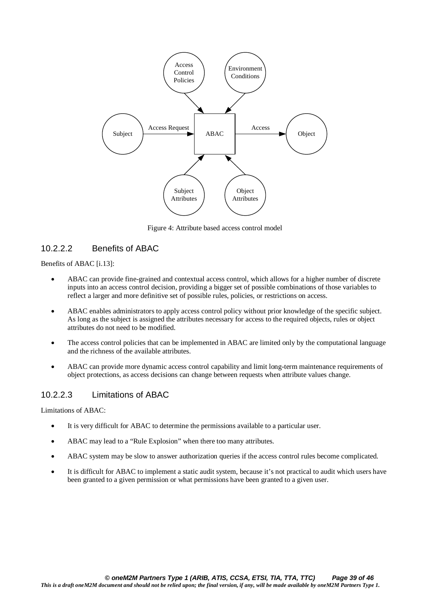

Figure 4: Attribute based access control model

#### 10.2.2.2 Benefits of ABAC

Benefits of ABAC [i.13]:

- ABAC can provide fine-grained and contextual access control, which allows for a higher number of discrete inputs into an access control decision, providing a bigger set of possible combinations of those variables to reflect a larger and more definitive set of possible rules, policies, or restrictions on access.
- ABAC enables administrators to apply access control policy without prior knowledge of the specific subject. As long as the subject is assigned the attributes necessary for access to the required objects, rules or object attributes do not need to be modified.
- The access control policies that can be implemented in ABAC are limited only by the computational language and the richness of the available attributes.
- ABAC can provide more dynamic access control capability and limit long-term maintenance requirements of object protections, as access decisions can change between requests when attribute values change.

#### 10.2.2.3 Limitations of ABAC

Limitations of ABAC:

- It is very difficult for ABAC to determine the permissions available to a particular user.
- ABAC may lead to a "Rule Explosion" when there too many attributes.
- ABAC system may be slow to answer authorization queries if the access control rules become complicated.
- It is difficult for ABAC to implement a static audit system, because it's not practical to audit which users have been granted to a given permission or what permissions have been granted to a given user.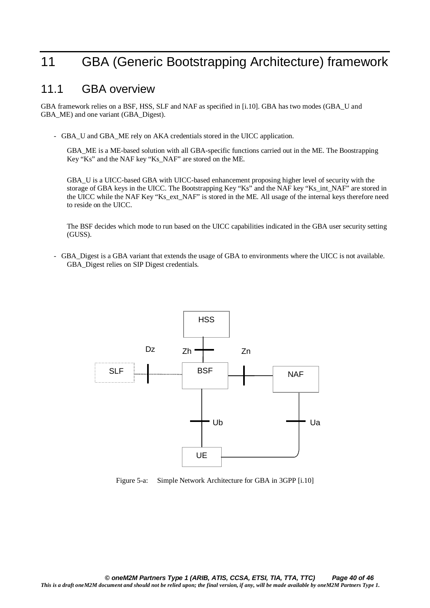# 11 GBA (Generic Bootstrapping Architecture) framework

#### 11.1 GBA overview

GBA framework relies on a BSF, HSS, SLF and NAF as specified in [i.10]. GBA has two modes (GBA\_U and GBA\_ME) and one variant (GBA\_Digest).

- GBA\_U and GBA\_ME rely on AKA credentials stored in the UICC application.

GBA\_ME is a ME-based solution with all GBA-specific functions carried out in the ME. The Boostrapping Key "Ks" and the NAF key "Ks\_NAF" are stored on the ME.

GBA\_U is a UICC-based GBA with UICC-based enhancement proposing higher level of security with the storage of GBA keys in the UICC. The Bootstrapping Key "Ks" and the NAF key "Ks\_int\_NAF" are stored in the UICC while the NAF Key "Ks\_ext\_NAF" is stored in the ME. All usage of the internal keys therefore need to reside on the UICC.

The BSF decides which mode to run based on the UICC capabilities indicated in the GBA user security setting (GUSS).

- GBA Digest is a GBA variant that extends the usage of GBA to environments where the UICC is not available. GBA\_Digest relies on SIP Digest credentials.



Figure 5-a: Simple Network Architecture for GBA in 3GPP [i.10]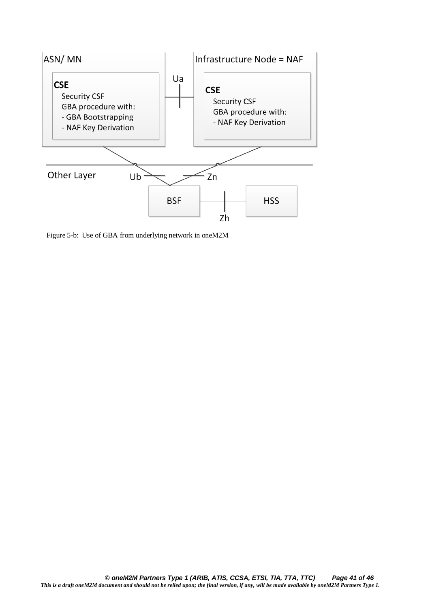

Figure 5-b: Use of GBA from underlying network in oneM2M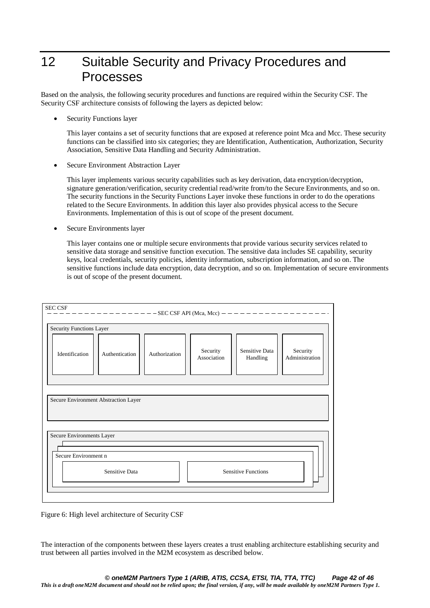# 12 Suitable Security and Privacy Procedures and Processes

Based on the analysis, the following security procedures and functions are required within the Security CSF. The Security CSF architecture consists of following the layers as depicted below:

• Security Functions layer

This layer contains a set of security functions that are exposed at reference point Mca and Mcc. These security functions can be classified into six categories; they are Identification, Authentication, Authorization, Security Association, Sensitive Data Handling and Security Administration.

• Secure Environment Abstraction Layer

This layer implements various security capabilities such as key derivation, data encryption/decryption, signature generation/verification, security credential read/write from/to the Secure Environments, and so on. The security functions in the Security Functions Layer invoke these functions in order to do the operations related to the Secure Environments. In addition this layer also provides physical access to the Secure Environments. Implementation of this is out of scope of the present document.

Secure Environments layer

This layer contains one or multiple secure environments that provide various security services related to sensitive data storage and sensitive function execution. The sensitive data includes SE capability, security keys, local credentials, security policies, identity information, subscription information, and so on. The sensitive functions include data encryption, data decryption, and so on. Implementation of secure environments is out of scope of the present document.

| <b>SEC CSF</b>                                                       | $-----------$ SEC CSF API (Mca, Mcc) — — — — — |               |                         |                            | $- - - - - - - - -$        |  |
|----------------------------------------------------------------------|------------------------------------------------|---------------|-------------------------|----------------------------|----------------------------|--|
| Security Functions Layer                                             |                                                |               |                         |                            |                            |  |
| Identification                                                       | Authentication                                 | Authorization | Security<br>Association | Sensitive Data<br>Handling | Security<br>Administration |  |
| Secure Environment Abstraction Layer                                 |                                                |               |                         |                            |                            |  |
| Secure Environments Layer                                            |                                                |               |                         |                            |                            |  |
| Secure Environment n<br>Sensitive Data<br><b>Sensitive Functions</b> |                                                |               |                         |                            |                            |  |
|                                                                      |                                                |               |                         |                            |                            |  |

Figure 6: High level architecture of Security CSF

The interaction of the components between these layers creates a trust enabling architecture establishing security and trust between all parties involved in the M2M ecosystem as described below.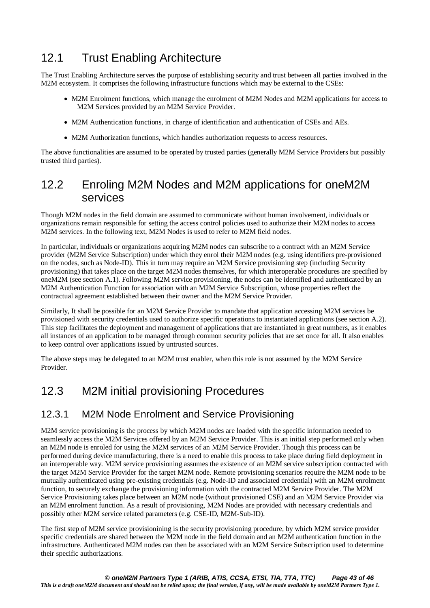# 12.1 Trust Enabling Architecture

The Trust Enabling Architecture serves the purpose of establishing security and trust between all parties involved in the M2M ecosystem. It comprises the following infrastructure functions which may be external to the CSEs:

- M2M Enrolment functions, which manage the enrolment of M2M Nodes and M2M applications for access to M2M Services provided by an M2M Service Provider.
- M2M Authentication functions, in charge of identification and authentication of CSEs and AEs.
- M2M Authorization functions, which handles authorization requests to access resources.

The above functionalities are assumed to be operated by trusted parties (generally M2M Service Providers but possibly trusted third parties).

### 12.2 Enroling M2M Nodes and M2M applications for oneM2M services

Though M2M nodes in the field domain are assumed to communicate without human involvement, individuals or organizations remain responsible for setting the access control policies used to authorize their M2M nodes to access M2M services. In the following text, M2M Nodes is used to refer to M2M field nodes.

In particular, individuals or organizations acquiring M2M nodes can subscribe to a contract with an M2M Service provider (M2M Service Subscription) under which they enrol their M2M nodes (e.g. using identifiers pre-provisioned on the nodes, such as Node-ID). This in turn may require an M2M Service provisioning step (including Security provisioning) that takes place on the target M2M nodes themselves, for which interoperable procedures are specified by oneM2M (see section A.1). Following M2M service provisioning, the nodes can be identified and authenticated by an M2M Authentication Function for association with an M2M Service Subscription, whose properties reflect the contractual agreement established between their owner and the M2M Service Provider.

Similarly, It shall be possible for an M2M Service Provider to mandate that application accessing M2M services be provisioned with security credentials used to authorize specific operations to instantiated applications (see section A.2). This step facilitates the deployment and management of applications that are instantiated in great numbers, as it enables all instances of an application to be managed through common security policies that are set once for all. It also enables to keep control over applications issued by untrusted sources.

The above steps may be delegated to an M2M trust enabler, when this role is not assumed by the M2M Service Provider.

### 12.3 M2M initial provisioning Procedures

#### 12.3.1 M2M Node Enrolment and Service Provisioning

M2M service provisioning is the process by which M2M nodes are loaded with the specific information needed to seamlessly access the M2M Services offered by an M2M Service Provider. This is an initial step performed only when an M2M node is enroled for using the M2M services of an M2M Service Provider. Though this process can be performed during device manufacturing, there is a need to enable this process to take place during field deployment in an interoperable way. M2M service provisioning assumes the existence of an M2M service subscription contracted with the target M2M Service Provider for the target M2M node. Remote provisioning scenarios require the M2M node to be mutually authenticated using pre-existing credentials (e.g. Node-ID and associated credential) with an M2M enrolment function, to securely exchange the provisioning information with the contracted M2M Service Provider. The M2M Service Provisioning takes place between an M2M node (without provisioned CSE) and an M2M Service Provider via an M2M enrolment function. As a result of provisioning, M2M Nodes are provided with necessary credentials and possibly other M2M service related parameters (e.g. CSE-ID, M2M-Sub-ID).

The first step of M2M service provisionining is the security provisioning procedure, by which M2M service provider specific credentials are shared between the M2M node in the field domain and an M2M authentication function in the infrastructure. Authenticated M2M nodes can then be associated with an M2M Service Subscription used to determine their specific authorizations.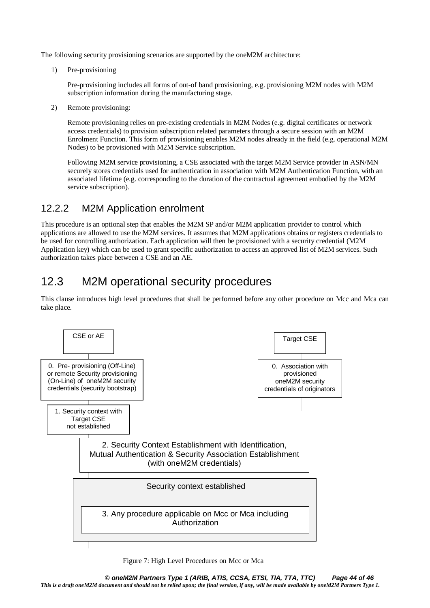The following security provisioning scenarios are supported by the oneM2M architecture:

1) Pre-provisioning

Pre-provisioning includes all forms of out-of band provisioning, e.g. provisioning M2M nodes with M2M subscription information during the manufacturing stage.

2) Remote provisioning:

Remote provisioning relies on pre-existing credentials in M2M Nodes (e.g. digital certificates or network access credentials) to provision subscription related parameters through a secure session with an M2M Enrolment Function. This form of provisioning enables M2M nodes already in the field (e.g. operational M2M Nodes) to be provisioned with M2M Service subscription.

Following M2M service provisioning, a CSE associated with the target M2M Service provider in ASN/MN securely stores credentials used for authentication in association with M2M Authentication Function, with an associated lifetime (e.g. corresponding to the duration of the contractual agreement embodied by the M2M service subscription).

#### 12.2.2 M2M Application enrolment

This procedure is an optional step that enables the M2M SP and/or M2M application provider to control which applications are allowed to use the M2M services. It assumes that M2M applications obtains or registers credentials to be used for controlling authorization. Each application will then be provisioned with a security credential (M2M Application key) which can be used to grant specific authorization to access an approved list of M2M services. Such authorization takes place between a CSE and an AE.

# 12.3 M2M operational security procedures

This clause introduces high level procedures that shall be performed before any other procedure on Mcc and Mca can take place.



Figure 7: High Level Procedures on Mcc or Mca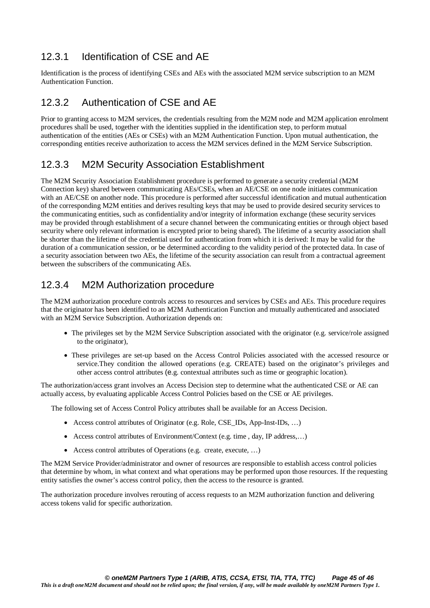#### 12.3.1 Identification of CSE and AE

Identification is the process of identifying CSEs and AEs with the associated M2M service subscription to an M2M Authentication Function.

#### 12.3.2 Authentication of CSE and AE

Prior to granting access to M2M services, the credentials resulting from the M2M node and M2M application enrolment procedures shall be used, together with the identities supplied in the identification step, to perform mutual authentication of the entities (AEs or CSEs) with an M2M Authentication Function. Upon mutual authentication, the corresponding entities receive authorization to access the M2M services defined in the M2M Service Subscription.

#### 12.3.3 M2M Security Association Establishment

The M2M Security Association Establishment procedure is performed to generate a security credential (M2M Connection key) shared between communicating AEs/CSEs, when an AE/CSE on one node initiates communication with an AE/CSE on another node. This procedure is performed after successful identification and mutual authentication of the corresponding M2M entities and derives resulting keys that may be used to provide desired security services to the communicating entities, such as confidentiality and/or integrity of information exchange (these security services may be provided through establishment of a secure channel between the communicating entities or through object based security where only relevant information is encrypted prior to being shared). The lifetime of a security association shall be shorter than the lifetime of the credential used for authentication from which it is derived: It may be valid for the duration of a communication session, or be determined according to the validity period of the protected data. In case of a security association between two AEs, the lifetime of the security association can result from a contractual agreement between the subscribers of the communicating AEs.

#### 12.3.4 M2M Authorization procedure

The M2M authorization procedure controls access to resources and services by CSEs and AEs. This procedure requires that the originator has been identified to an M2M Authentication Function and mutually authenticated and associated with an M2M Service Subscription. Authorization depends on:

- The privileges set by the M2M Service Subscription associated with the originator (e.g. service/role assigned to the originator),
- These privileges are set-up based on the Access Control Policies associated with the accessed resource or service.They condition the allowed operations (e.g. CREATE) based on the originator's privileges and other access control attributes (e.g. contextual attributes such as time or geographic location).

The authorization/access grant involves an Access Decision step to determine what the authenticated CSE or AE can actually access, by evaluating applicable Access Control Policies based on the CSE or AE privileges.

The following set of Access Control Policy attributes shall be available for an Access Decision.

- Access control attributes of Originator (e.g. Role, CSE\_IDs, App-Inst-IDs, …)
- Access control attributes of Environment/Context (e.g. time , day, IP address,…)
- Access control attributes of Operations (e.g. create, execute, …)

The M2M Service Provider/administrator and owner of resources are responsible to establish access control policies that determine by whom, in what context and what operations may be performed upon those resources. If the requesting entity satisfies the owner's access control policy, then the access to the resource is granted.

The authorization procedure involves rerouting of access requests to an M2M authorization function and delivering access tokens valid for specific authorization.